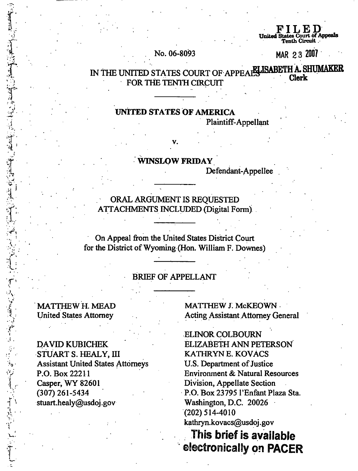### **FILED** •

**United States Court** of **Appeals Tenth OJr\_it** ..

### **No. 06-8093**

MAR 23 2007

IN THE UNITED STATES COURT OF APPEAL<sup>PL</sup>USABETH A. SP **FOR** THE TENTH CIRCUIT  ${\bf Clerl}$ 

## **UNITED STATES OF AMERICA**

**Plaintiff-Appellant**

### **WINSLOW FRIDAY**

Vo

Defendant-Appellee

.. ORAL ,\_R.GUMENT **IS** *REQUESTED* ATTACHMENTS INCLUDED (Digital Form).

On Appeal from the United States District Court for the District of Wyoming (Hon. William F. Downes)

### BRIEF OF APPELLANT

### MATTHEW H. MEAD United States Attorney

不入学过一个

DAVID KUBICHEK •sTUART **S.** HEALY, III Assistant United States *Attorneys* P.O. Box 2221.1 Casper, WY 82601 (307) 261-5434 stuart.healy@usdoj.gov

MATTHEW J. McKEOWN . *Acting Assistant* Attorney General • **. . . .** *•* **.**

.ELINOR COLBOURN ELIZABETH ANN PETERSON KATHRYN **E.** KOVACS U.S. Department of Justice Environment & Natural Resources Division, Appellate Section P.O. Box 23795 l'Enfant Plaza Sta. Washington, D.C. 20026 •(202) 514-4010 kathryn.kovacs@usd0j.gov

• **This brief is** available **electronically on PACER**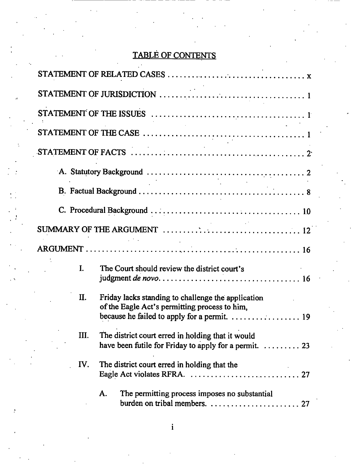# TABLE OF CONTENTS

 $\mathbb{R}^2$ 

| I.  | The Court should review the district court's                                                                                                                                            |
|-----|-----------------------------------------------------------------------------------------------------------------------------------------------------------------------------------------|
| П.  | Friday lacks standing to challenge the application<br>of the Eagle Act's permitting process to him,<br>because he failed to apply for a permit. $\ldots \ldots \ldots \ldots \ldots$ 19 |
| Ш.  | The district court erred in holding that it would<br>have been futile for Friday to apply for a permit.  23                                                                             |
| IV. | The district court erred in holding that the                                                                                                                                            |
|     | The permitting process imposes no substantial<br>A.                                                                                                                                     |

 $\mathbf{i}$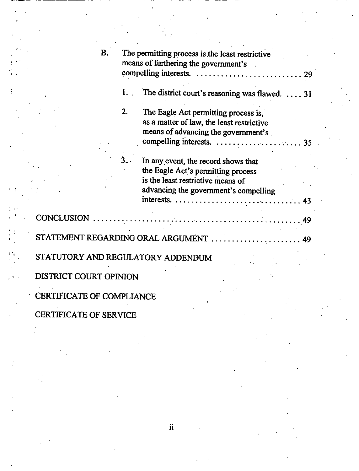| <b>B.</b>                        | The permitting process is the least restrictive<br>means of furthering the government's<br>compelling interests.<br>-29                                 |
|----------------------------------|---------------------------------------------------------------------------------------------------------------------------------------------------------|
|                                  | The district court's reasoning was flawed.  31<br>1.                                                                                                    |
|                                  | 2.<br>The Eagle Act permitting process is,<br>as a matter of law, the least restrictive<br>means of advancing the government's                          |
|                                  | In any event, the record shows that<br>the Eagle Act's permitting process<br>is the least restrictive means of<br>advancing the government's compelling |
|                                  |                                                                                                                                                         |
|                                  | STATEMENT REGARDING ORAL ARGUMENT  49                                                                                                                   |
|                                  | STATUTORY AND REGULATORY ADDENDUM                                                                                                                       |
| <b>DISTRICT COURT OPINION</b>    |                                                                                                                                                         |
| <b>CERTIFICATE OF COMPLIANCE</b> |                                                                                                                                                         |
| <b>CERTIFICATE OF SERVICE</b>    |                                                                                                                                                         |

t

ii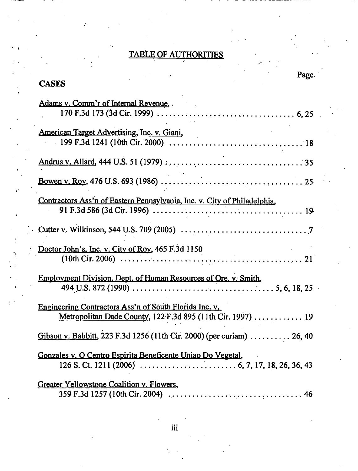## TABLE OF AUTHORITIES

| Page.<br><b>CASES</b>                                                                                                 |
|-----------------------------------------------------------------------------------------------------------------------|
| Adams v. Comm'r of Internal Revenue,                                                                                  |
| American Target Advertising, Inc. v. Giani,                                                                           |
|                                                                                                                       |
|                                                                                                                       |
| Contractors Ass'n of Eastern Pennsylvania, Inc. v. City of Philadelphia,                                              |
|                                                                                                                       |
| Doctor John's, Inc. v. City of Roy, 465 F.3d 1150                                                                     |
| Employment Division, Dept. of Human Resources of Ore. v. Smith,                                                       |
| Engineering Contractors Ass'n of South Florida Inc. v.<br>Metropolitan Dade County, 122 F.3d 895 (11th Cir. 1997)  19 |
| Gibson v. Babbitt, 223 F.3d 1256 (11th Cir. 2000) (per curiam)  26, 40                                                |
| Gonzales v. O Centro Espirita Beneficente Uniao Do Vegetal,                                                           |
| Greater Yellowstone Coalition v. Flowers,                                                                             |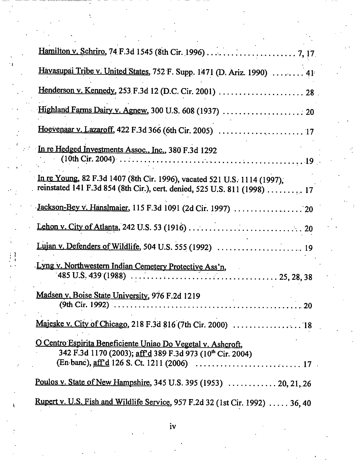| Havasupai Tribe v. United States, 752 F. Supp. 1471 (D. Ariz. 1990)  41                                                                               |
|-------------------------------------------------------------------------------------------------------------------------------------------------------|
|                                                                                                                                                       |
|                                                                                                                                                       |
| Hoevenaar v. Lazaroff, 422 F.3d 366 (6th Cir. 2005)  17                                                                                               |
| In re Hedged Investments Assoc., Inc., 380 F.3d 1292                                                                                                  |
| In re Young, 82 F.3d 1407 (8th Cir. 1996), vacated 521 U.S. 1114 (1997),<br>reinstated 141 F.3d 854 (8th Cir.), cert. denied, 525 U.S. 811 (1998)  17 |
|                                                                                                                                                       |
|                                                                                                                                                       |
| Lujan v. Defenders of Wildlife, 504 U.S. 555 (1992)  19                                                                                               |
| Lyng v. Northwestern Indian Cemetery Protective Ass'n,                                                                                                |
| Madsen v. Boise State University, 976 F.2d 1219                                                                                                       |
|                                                                                                                                                       |
| O Centro Espirita Beneficiente Uniao Do Vegetal v. Ashcroft,<br>342 F.3d 1170 (2003); aff'd 389 F.3d 973 (10 <sup>th</sup> Cir. 2004)                 |
| Poulos v. State of New Hampshire, 345 U.S. 395 (1953)  20, 21, 26                                                                                     |
| Rupert v. U.S. Fish and Wildlife Service, 957 F.2d 32 (1st Cir. 1992)  36, 40                                                                         |

I C

iv

Rupert v. U.S. **Fish** and Wildlife Service, 957 F.2d 32 (lst Cir. 1992) ..... 36, 40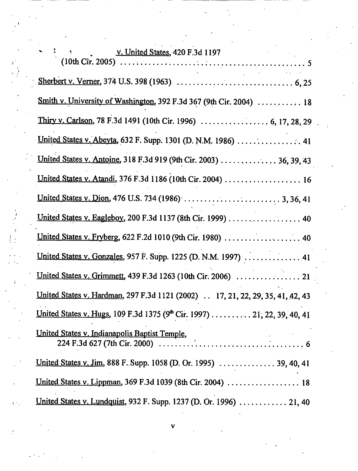| Smith v. University of Washington, 392 F.3d 367 (9th Cir. 2004)  18             |
|---------------------------------------------------------------------------------|
|                                                                                 |
|                                                                                 |
| United States v. Antoine, 318 F.3d 919 (9th Cir. 2003)  36, 39, 43              |
|                                                                                 |
|                                                                                 |
|                                                                                 |
|                                                                                 |
| United States v. Gonzales, 957 F. Supp. 1225 (D. N.M. 1997)  41                 |
|                                                                                 |
| United States v. Hardman, 297 F.3d 1121 (2002) . 17, 21, 22, 29, 35, 41, 42, 43 |
| United States v. Hugs, 109 F.3d 1375 (9th Cir. 1997) 21, 22, 39, 40, 41         |
| United States v. Indianapolis Baptist Temple,                                   |
|                                                                                 |
|                                                                                 |
|                                                                                 |
|                                                                                 |
|                                                                                 |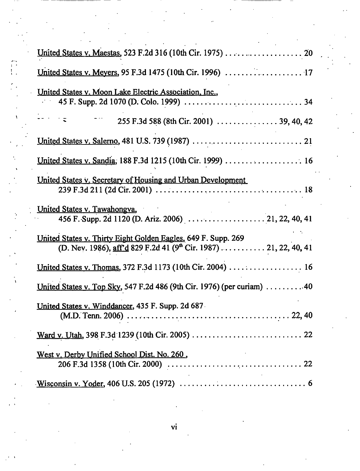| United States v. Meyers, 95 F.3d 1475 (10th Cir. 1996)  17                  |
|-----------------------------------------------------------------------------|
| United States v. Moon Lake Electric Association, Inc.,                      |
| $\frac{1}{2}$ and $\frac{1}{2}$<br>255 F.3d 588 (8th Cir. 2001)  39, 40, 42 |
|                                                                             |
|                                                                             |
| United States v. Secretary of Housing and Urban Development                 |
| United States v. Tawahongva,                                                |
| United States v. Thirty Eight Golden Eagles, 649 F. Supp. 269               |
|                                                                             |
| United States v. Top Sky, 547 F.2d 486 (9th Cir. 1976) (per curiam) 40      |
| United States v. Winddancer, 435 F. Supp. 2d 687                            |
|                                                                             |
| West v. Derby Unified School Dist. No. 260,                                 |
|                                                                             |

0 **t** ,

vi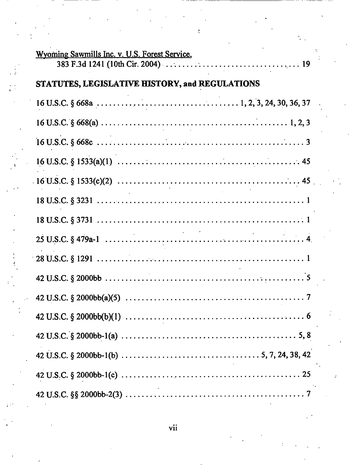| Wyoming Sawmills Inc. v. U.S. Forest Service,  |
|------------------------------------------------|
| STATUTES, LEGISLATIVE HISTORY, and REGULATIONS |
|                                                |
|                                                |
|                                                |
|                                                |
|                                                |
|                                                |
|                                                |
|                                                |
|                                                |
|                                                |
|                                                |
|                                                |
|                                                |
|                                                |
|                                                |
|                                                |

 $\frac{1}{2}$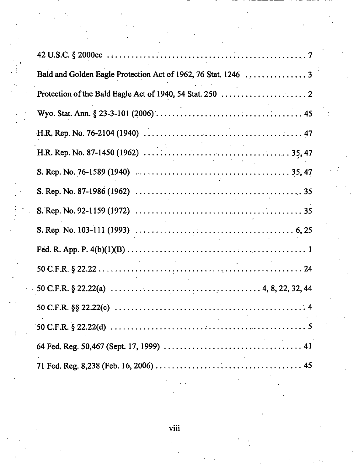| 50 C.F.R. § 22.22(d) $\cdots$ $\cdots$ $\cdots$ $\cdots$ $\cdots$ $\cdots$ $\cdots$ $\cdots$ $\cdots$ $\cdots$                                                                                                                           |
|------------------------------------------------------------------------------------------------------------------------------------------------------------------------------------------------------------------------------------------|
|                                                                                                                                                                                                                                          |
|                                                                                                                                                                                                                                          |
| $\mathcal{F}(\mathcal{F})$ and the set of the set of the set of the set of the set of the set of the set of the set of the set of the set of the set of the set of the set of the set of the set of the set of the set of the set of the |

 $\begin{bmatrix} 1 \\ 1 \\ 1 \end{bmatrix}$ 

 $\frac{1}{\sqrt{2}}$ 

Ţ

l,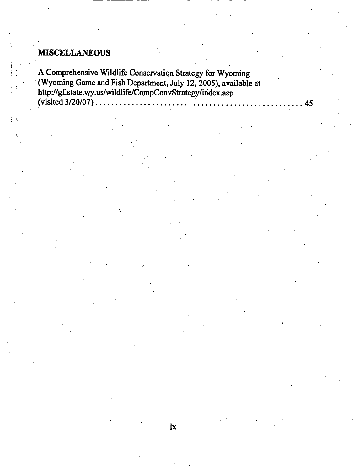### **MISCELLANEOUS**

 $\left\{ \cdot \right\}$ 

A Comprehensive **Wildlife** Conservation Strategy **for Wyoming (Wyoming** Game and **Fish Depai'tment,** July 12, 2005), available at http://gf.state.wy.us/wildlife/CompConvStrategy/index.asp (visited **3/20/07)** " " 45

i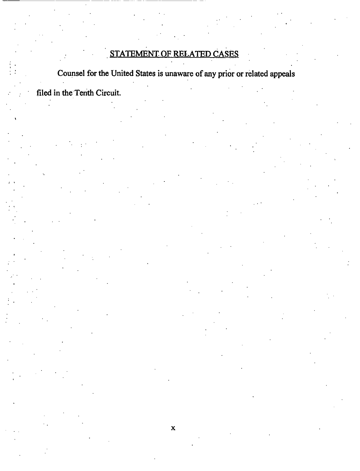## **STATEMENT** OF RELATED CASES

# **Counsel for** the **United States is unaware of** any prior **or related** appeals

# filed in the Tenth Circuit.

**X**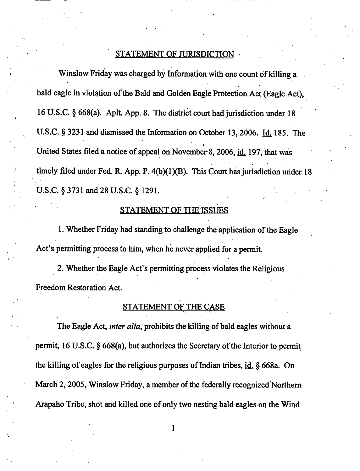### STATEMENT OF JURISDICTION

Winslow **Friday** Was charged by Information with **one** count of killing **a** bald eagle in violation of the Bald and Golden Eagle Protection Act (Eagle Act), 16 U,S.C. § 668(a). Aplt. App. 8. The district court had jurisdiction under 18 U.S.C. § 3231 and dismissed the Information on October 13, 2006. Id. 185. The United States filed a notice of appeal on November 8, 2006, id. 197, that was timely filed under Fed. R. App. P.  $4(b)(1)(B)$ . This Court has jurisdiction under 18 U.S.C. § 3731 and 28 U.S.C. § 1291.

### STATEMENT OF THE ISSUES-

**1.** Whether **Friday** had standing to challenge the **application of** the Eagle Act's permitting process to him, when he never applied for a permit.

2. Whether the Eagle *Act's* permitting process violates the Religious Freedom Restoration Act.

#### STATEMENT OF THE CASE

The Eagle Act, *inter alia,* prohibits the killing of bald eagles without a permit, 16 U.S.C.  $\S$  668(a), but authorizes the Secretary of the Interior to permit the killing of eagles for the religious purposes of Indian tribes, id.  $\S$  668a. On March 2, 2005, Winslow Friday, a member of the federally recognized Northern Arapaho Tribe, shot and killed one of only two nesting bald eagles on the Wind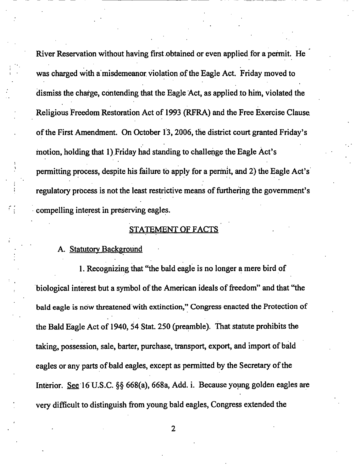River Reservation without having **first** •obtained **or** even **applied for a pemait.** He was charged with a misdemeanor violation of the Eagle Act. Friday moved to dismiss the charge, contending that the Eagle Act, as applied to him, violated the Religious Freedom Restoration Act of 1993 (RFRA) and the Free Exercise Clause. of the First Amendment. On October 13, 2006, the district court granted Friday's motion, holding that 1) Friday had standing to challenge the Eagle Act's permitting process, despite his failure to apply for a permit, and 2) the Eagle Act's regulatory process is not the least restrictive means of furthering the government's compelling interest in preserving eagles.

### STATEMENT OF FACTS

#### *A.* Statutory Background

1. Recognizing that "the bald eagle is no longer a mere bird of •biological interest but a symbol of the American ideals of freedom" and that "the bald eagle is now threatened with extinction," Congress enacted the Protection of the Bald Eagle *Act* of 1940, 54 Stat. 250 (preamble). That statute prohibits the taking, possession, sale, barter, purchase, transport, export, and import of bald eagles or any parts of bald eagles, except as permitted by the Secretary of the Interior. See 16 U.S.C. §§ 668(a), 668a, Add. i. Because young golden eagles are very difficult to distinguish from young bald eagles, Congress extended the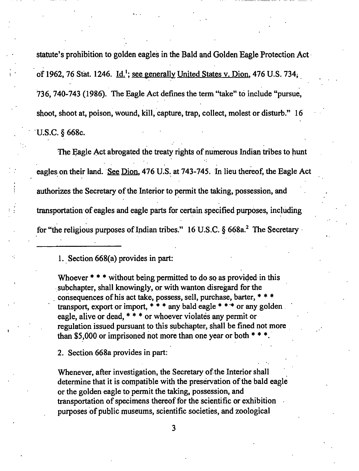s**tatute's prohibition to** golden **eagles** in **the Bald and Golden** Eagle **Protection Act Of 1962,** 76 **stat. 1246. Id\_\_\_.t; see** generally **United States v. Dion, 476 U.S.** 734\_ 736, 740-743 *0986).* **The Eagle Act defines the term** "take" **tO** include "pursue, **shoot, shoot at, poison, wound,** kill, •capture, **trap, collect, molest or disturb." 16 U.S.C.** § **668e.**

**The • Eagle Act abrogated the** treaty **rights of numerous Indian tribes to hunt eagles: on their land. See Dion, 476 U.S. at** 743-745. **In lieu** thereof, the **Eagle Act authorizes** the **Secretary of the Interior to permit the taking, possession, and** transportation **of eagles** and eagle **parts for** certain **specified purposes, including for** "the **religious purposes of Indian tribes." 16 U.S.C.** § **668a.** \_ **The Secretary**

1. **Section 668(a) provides in part:**

i.

Whoever **\* \* \*** without being permitted to do.so, as provided-in this subchapter, shall knowingly, or with wanton disregard for the • consequences of his act take, possess, sell, purchase, barter, \* \* \* transport, export or import, \* \* \* any bald eagle \* \* \* or any golden eagle, alive or dead,  $* * *$  or whoever violates any permit or regulation issued pursuant to this subchapter, shall be **fined** not more than \$5,000 or imprisoned not more than one year or both  $*$ 

*2.* **Section 668a** provides in part:

Whenever, after investigation, the Secretary of the Interior shall determine that it is compatible with the preservation of the bald eagle or the golden eagle to permit the taking, possession, and transportation of specimens thereof for the scientific or exhibition purposes of public museums, scientific societies, and zoological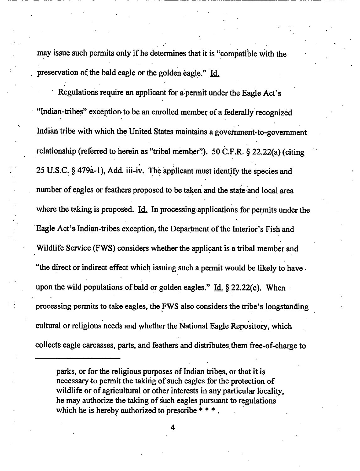may issue such permits **only if** he **determines** that **it is** ".compatible With the preservation of the bald eagle or the golden eagle." Id.

Regulations require an applicant for a:permit under the Eagle *Act's* "Indian-tribes" exception, to be an enrolled member of a federally recognized Indian tribe with which the United States maintains a government-to-government relationship (referred to herein as "tribal member"). 50 C.F.R. § 22.22(a) (citing 25 U.S.C. § 479a-1), Add. iii-iv. The applicant must identify the species and number of eagles or feathers proposed to be taken and the state and local area where the taking is proposed. Id. In processing applications for permits under the Eagle *Act's.* Indian-tribes exception, the Department of the Interior's Fish and Wildlife Service (FWS) considers whether the applicant is a tribal member and "the direct or indirect effect which issuing such a permit would be likely to have. upon the wild populations of bald or golden eagles." Id.  $\S$  22.22(c). When processing permits to take eagles, the FWS also considers the tribe's longstanding cultural or religious needs and whether the National Eagle Repository, which collects eagle carcasses, parts, and feathers and distributes them free-of-charge to

parks, or for the religious purposes of Indian tribes, or that it is necessary to permit the taking of such eagles for the protection of wildlife or of agricultural or other interests in any particular locality, he may authorize the taking of such eagles pursuant to regulations which he is hereby authorized to prescribe  $* * *$ .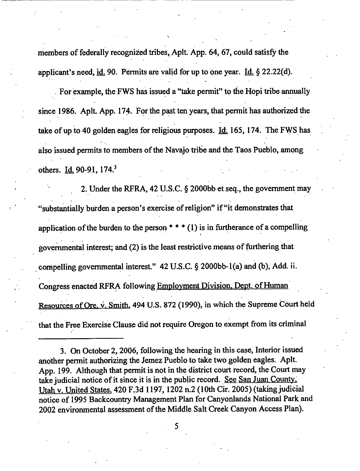**members** of federally recognized tribes, Aplt. App. 64, 67, could satisfy the **applicant's need, id\_\_\_. 90. Permits are Valid for up to one year. Id.** § **22.22(d).**

• **For** example, the **FWS** has **issued a** "take **permit" to the Hopi tribe annually since 1986. Aplt. App. 174. For the past ten years,** that **permit** has **authorized** the **take ofupio** 40 **golden** eagles **for religious purposes. Id\_\_\_. 165, 174. The FWS.has. also issued permits to members of the Navajo tribe** and **the Taos Pueblo,** among **others. Id\_\_\_\_. 90-91, 174.** 3

**2. Under the** RFRA, 42 **U\_S.C.** § **2000bb** et **seq.,** the **governmen** t **may** "substantially burden **a person's** exercise **of religion" if"it demonstrates that application of the burden to the perso n. \* \* \* (1) is in furtherance of a compelling governmental interest; and (2) is** the **least restrictive means of** furthering that •**compelling governmental interest." 42 U.S.C.** § 2000bb-l(a) and **(b), Add. ii. Congress** enacted RFRA **following Employment Division, Dept. of Human Resources of Ore.** \_. **smith, 494 U.S. 872** (1990), **in** which **the Supreme** Court held **that** theFree **Exercise Claus.e did not require Oregon to** exempt **from its criminal**

**<sup>3.</sup>** On October 2, 2006, **following** the hearing **in this case, Interior issued** another permit **authorizing** the **Jemez** Pueblo to take two golden eagles. Aplt. App. 199. Although that permit is not in the district **court** record, the Court may take **judicial** notice of it since it is in the public record. See San **Juan** County; Utah v. United States, 420 F.3d 1197, 1202 n.2 (10th Cir. 2005) (taking judicial notice of !995 Backcountry Management Plan **for** Canyonlands National Park **and** 2002 environmental assessment of the Middle Salt Creek Canyon Access Plan).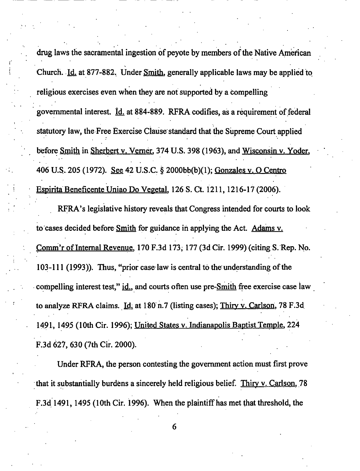drug laws **the sacramental** ingestion **Of** peyote by members **of** the **Native** American Church. Id. at 877-882. Under Smith, generally applicable laws may be applied to. religious exercises even when they are not supported by a compelling governmental interest, id\_\_\_\_, at 884-889. RFRA codifies, as a requirement **0f:federal** statutory law, the Free Exercise Clause standard that the Supreme Court applied before Smith in Sherbert v. Verner, 374 U.S. 398 (1963), and Wisconsin v. Yoder, 406 U.S. 205 (1972). See 42 U.S.C. § 2000bb(b)(1); Gonzales v. O Centro Espirita Beneficente Uniao Do Vegetal, 126 S. Ct. 1211, 1216-17 (2006).

RFRA's legisiative history reveals that Congress intended for courts to look to cases decided before Smith for guidance in applying the Act. Adams v. Comm'r of Internal Revenue, 170 F.3d 173; 177 (3d Cir. 1999) (citing S. Rep. No. 103-111 (1993)). Thus, "prior case law is central to the understanding of the compelling interest test," id., and courts often use pre-Smith free exercise case law to analyze RFRA claims. Id. at 180 n.7 (listing cases); Thiry v. Carlson, 78 F.3d 1491, 1495 (10th Cir. 1996); United States v. Indianapolis Baptist Temple, 224 F.3d 627, 630 (7th Cir. 2000).

Under RFRA, the person contesting the government action must first prove that it substantially burdens a sincerely held religious belief. Thiry v. Carlson, 78 F.3d 1491, 1495 (lOth Cir. i996). When the plaintifffias met that threshold, the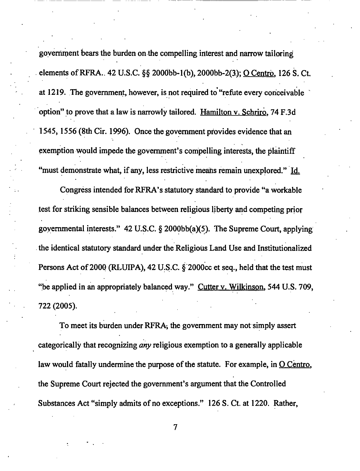government bears the burden on.the compelling interest and **narrow** tailoring elements of RFRA.. 42 U.S.C. §§ 2000bb-1(b), 2000bb-2(3); O Centro, 126 S. Ct. at 1219. The government, however, is not required to "refute every conceivable option" **to** prove that a law is narrowly tailored. Hamilton v. Sehriro, 74 F.3d • 1545, 1556 (8th Cir. 1996). Once the government provides evidence that an exemption would impede the government's compelling interests, the plaintiff "must demonstrate what, if any, less restrictive means remain unexplored." Id.

Congress intended for RFRA's statutory standard to provide "a workable *test* for striking sensible balances between religious l.iberty and competing prior governmental interests." 42 U.S.C.  $\S$  2000bb(a)(5). The Supreme Court, applying the identical statutory standard under the Religious Land Use and Institutionalized Persons Act of 2000 (RLUIPA), 42 U.S.C. § 2000cc et seq., held that the test must "be applied in an appropriately balanced way." Cutter v. Wilkinson, 544 U.S. 709, *722* (2005).

To meet its burden under RFRA; the government may not simply assert categorically that recognizing *any* religious exemption to a generally applicable law would fatally undermine the purpose of the statute. For example, in  $O$  Centro. the Supreme Court rejected the government's argument that the Controlled Substances Act "simply admits of no exceptions." 126 S. Ct. at 1220. Rather,

 $\overline{7}$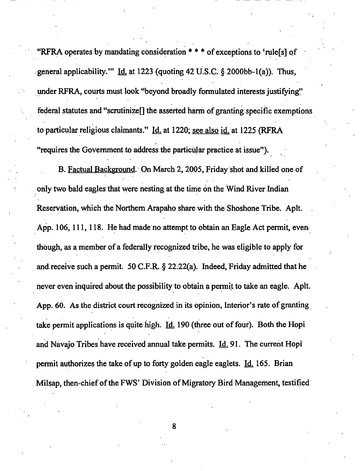"RFRA **operates by mandating** consideration **\* \* \* of exceptions to** 'rule[s **]** of general applicability.'" Id\_\_\_. at 1223 **(quoting** 42 **U.S.C.** § 2000bb-l(a)). **Thus,** under **RFRA,** courts **must look** "beyond **broadly formulated interests** justifying" **federal** statutes and "scrutinize[] the asserted harm **of** granting specific **exemptions** to particular **religious** claimants." Id\_\_\_. at 1220; see also **id\_\_\_,** at 1225 **(RFRA** "requires the Government to address the particular practice at **issue").** .

B. Factual Background. On March 2, 2005, Friday shot and killed one of **only two** bald eagles that **were** nesting at the **time On** the **Wind River** Indian **Reservation, which** the **Northern** Arapaho share **with the** Shoshone **Tribe.** Aplt. App. 106, 111, 118. He had made no attempt to obtain an Eagle Act permit, even. though, as a member **of** a **federally recognized** tribe, he **was** eligible **to** apply **for** and.receive such a permit. 50 C.F.R..§ 22.22(a). Indeed, **Friday** admitted that he never even inquired about the possibility to obtain a permit to take an eagle. Aplt. App. 60. As **the district** court **recognized** in **its opinion,** Interior's **rate of granting** take permit applications is quite *high.* Id\_\_\_. 190 **(three out of four).** Both the **Hopi** and **Navajo Tribes** have **received** annual take permits. Id\_\_\_. 91. **The** current **Hopi** permit authorizes the take of up to forty golden eagle eaglets. *Id.* 165. Brian M!lsap, then-chief **of** the **FWS' Division of** Migratory Bird **Management,** testified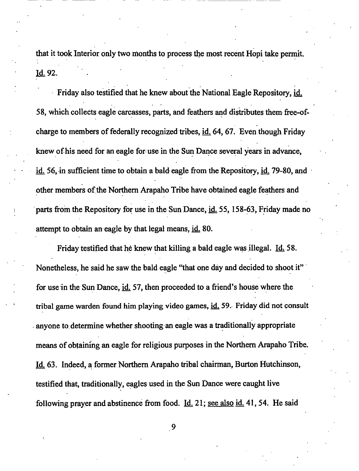that it took Interior **only** two months to **process** the **most recent H0pi** take **permit.** <u>Id.</u> 92.

- Friday also testified that he knew about the National Eagle Repository, id. 58, which collects eagle carcasses, parts, and feathers and distributes them free-ofcharge to members of federally recognized tribes, id. 64, 67. Even though Friday knew of his need for an eagle for use in the Sun Dance several years in advance, id. 56, in sufficient time to obtain a bald eagle from the Repository, id. 79-80, and other members of the Northern Arapaho Tribe have obtained eagle feathers and parts from the Repository for use in the Sun Dance, id. 55, 158-63, Friday made no attempt to obtain an eagle by that legal means, id. 80.

Friday testified that he knew that killing a bald eagle was illegal.  $\underline{Id}$ . 58. Nonetheless, he said he saw the bald eagle "that one day and decided to shoot it" for use in the Sun Dance, id. 57, then proceeded to a friend's house where the tribal game warden found him playing video games, id. 59. Friday did not consult anyone to determine whether shooting an eagle was a traditionally appropriate means of obtaining an eagle for religious purposes in the Northern Arapaho Tribe. Id. 63. Indeed, a former Northern Arapaho tribal chairman, Burton Hutchinson, testified that, traditionally, eagles used in the **Sun** Dance were caught live following prayer and abstinence from food.  $\underline{Id}$ , 21; see also id. 41, 54. He said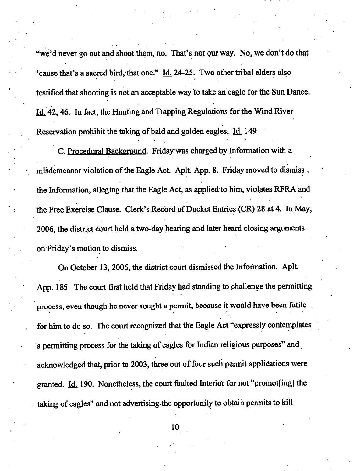"we'd never go **out** and **shoot** them\_ no. That's not **our** way\_ No, we **don't do.that** 'cause that's a sacred bird, that one."  $\underline{Id}$ . 24-25. Two other tribal elders also testified that shooting is not an acceptable way to take an eagle for **the** Sun Dance. ld\_\_\_\_. 42,46. In fact, the Hunting and Trapping Regulations for the Wind River Reservation prohibit the taking of bald and golden eagles. Id. 149

C. Procedural Background. Fridaywas charged by Information with a misdemeanor violation of the Eagle Act. Aplt. *App.* 8. Friday moved to dismiss **:** the Information, alleging that the Eagle Act, as applied to him, violates RFRA and the Free Exercise Clause. Clerk's Record of Docket Entries (CR) 28 at 4. In May, 2006, the district court held a two-day hearing and later heard closing arguments **onFriday's** motion to dismiss.

On October 13, 2006, the district court dismissed the Information. Aplt. App. 185. The court first held that Friday had standing to challenge the permitting process, even though he never sought a permit, because it would have been futile for him to do so. The court recognized that the Eagle Act "expressly contemplates" a permitting process for the taking of eagles for Indian religious purposes" and acknowledged that, prior to 2003, three out of four such permit applications were granted. Id\_\_\_\_. 190. Nonetheless, the court faulted Interior for not **"promot[ing]** the taking of eagles" and not advertising the opportunity to obtain permits to kill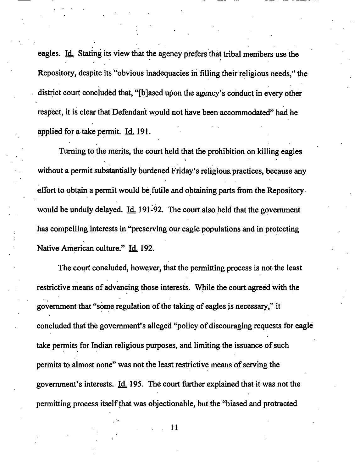**eagles. Id\_\_,Stating** its view **that** the agency **prefers** that **tribal** members **usethe** Repository, despite its "'obvious **inadequacies ifi filling** their **religious** needs," the district court concluded that, "[b]ased upon the agency's conduct in every other respect, it is clear that Defendant would not have been accommodated" had he applied for a take permit. Id. 191.

Turning to the merits, the court held that the prohibition on killing eagles without a permit substantially burdened Friday's religious, practices, because any **effort** to obtain a permit would be futile and obtaining parts from the Repository would be unduly delayed. Id. 191-92. The court also held that the government has compelling interests in "preserving our eagle populations and in protecting Native American culture." Id. 192.

The court concluded, however, that the permitting process is not-the least restrictive means of advancing those interests. While the court agreed With the government that "some regulation of the taking of eagles is necessary," it concluded that the government's alleged "policy of discouraging requests for eagle take permits for Indian religious purposes, and limiting the issuance of such permits to almost none" was not the least restrictive means of serving the government's interests. Id. 195. The court further explained that it was not the permitting process itself that was objectionable, but the "biased and protracted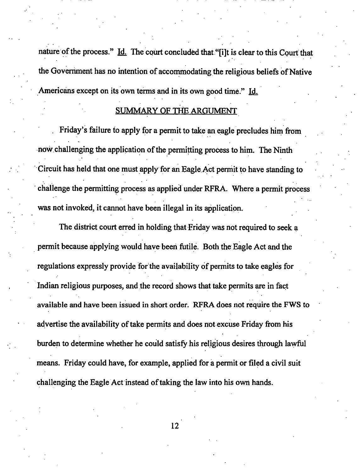**nature** of **the process."** Id\_\_\_\_. The court concluded that"[i]t **is** clear **to** this **Court** that the Government has no intention of accommodating the religious beliefs **Of Native** Americans except on its own terms and in its own good time." Id.

### SUMMARY OF THE ARGUMENT

Friday's failure to apply for a permit to take an eagle precludes him from •**now•challenging** the **appli.eation ofthe.permi..tting process to** him. The Ninth "Circuit has held that one must.apply •for an **Eagle• Act** permit to have standing to challenge the permitting process as applied under RFRA. Where a permit proces was not invoked, it cannot have been illegal in its application.

The **district** court erred in holding **that.Friday** was not required to seek a permit because applying would have been futile. Both the Eagle Act and the regulations expressly provide for the availability of permits to take eagles for Indian religious purposes, and the record shows that take permits are in fact available and have been issued in short order. RFRA does not require the FWS to **advertise** the availability of take **permits** and does not•excuse Friday from **his** burden to determine whether he could satisfy his religious desires through lawful means. **Friday** could have, for example, applied for a permit or filed a civil suit challenging the Eagle Act instead of taking the law into his own hands.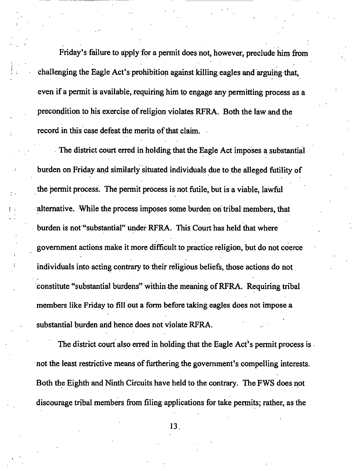**Friday's** failure to apply for a **permit does** not, however, **preclude** him from challenging the **Eagle** *Act's* prohibition against killing-eagles and arguing.that, even if a permit is available, requiring him to engage any permitting process as a precondition to his exercise of religion violates RFRA. Both the law and the record in this case defeat the merits of that claim.

• The district court erred in holding that the Eagle Act imposes a **substantial** burden on Friday and similarly situated individuals due to the alleged futility of the permit process. The permit process is not futile, but is a viable, lawful alternative. While the process imposes some burden on tribal members, that burden is not "substantial" under RFRA. This Court has held that where government actions **make** it more difficult to practice religion, but do not coerce individuals into acting contrary to their religious beliefs, those actions do not. constitute "substantial burdens" within the meaning of RFRA. Requiring tribal members like Friday to fill out a form before taking eagles does not impose a substantial burden and hence does not violate RFRA.

The district court also erred in holding that the Eagle Act's permit process is  $\cdot$ not the least restrictive means of furthering the government's compelling interests. Both the Eighth and Ninth Circuits have held to the contrary. The FWS does not discourage tribal members from filing applications for take permits; rather, as the

13.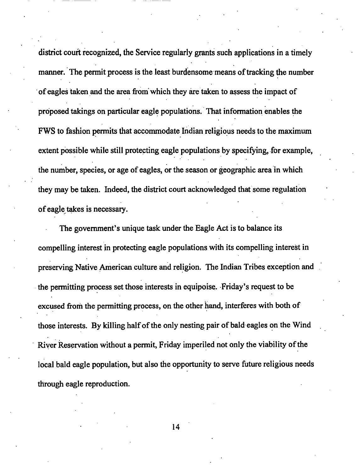**district** court recognized, the Service regularly grants such applications **in** a **timely** manner. The permit process is the least burdensome means of tracking the number •of eagles taken and the area from'which they aretaken to assess the impact of proposed takings on particular eagle populations. That information enables the FWS to fashion permits that accommodate Indian religious needs to the maximum extent possible while still protecting eagle populations by specifying, for example, the number, species, or age of eagles, or the season or geographic area in which they may be taken. Indeed, the district court acknowledged that some regulation of eagle takes is necessary.

The **government's** unique task under the Eagle Act is to balance its compelling interest in protecting eagle populations with its compelling interest in preserving Native American culture and religion. The Indian Tribes exception and •the permitting process set those interests in equipoise. •Friday's request to be excused from the permitting process, on the other hand, interferes with both of those interests. *By* killing half of the only nesting pair of bald-eagles on the Wind • River Reservation without a permit, Friday imperiled not only the viability of the local bald eagle population, but also the opportunity to serve future religious needs through eagle reproduction.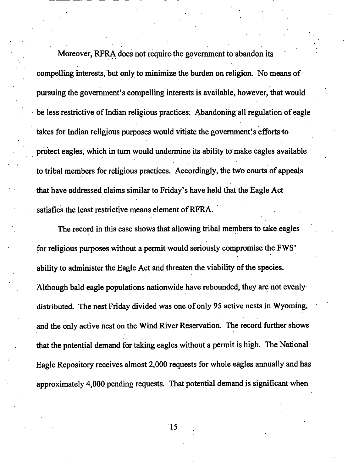**Moreover, RFRA** does not require the government to abandon its **compelling interests,** but **only to** minimize **the burden on religion. No** means **of pursuing** the government's **compelling interests is** available, **however,** that **would** • 16e**less** restrictive **of Indian religious** practices. **Abandoniiag all regulation of** eagle **takes for** Indian **religious** purposes would **vitiate** the government's efforts **to** protect **eagles, which in turn would** undermine **its** ability to **make eagles** ava!lable to tribal members for religious practices. Accordingly, the two courts of appeals that have addressed claims similar to **Friday's** have held that the **Eagle** Act **safisfie:s** the least restrictive **means** element **of** RFRA.

The record in this case shows that allowing tribal members to take eagles for religious purposes without a permit would seriously compromise the FWS' ability to administer the Eagle *Act* and threaten the viability of the species. Although bald eagle populations nationwide have rebounded, they are not evenly • distributed. The nest Friday divided was one of only 95 active nests in Wyoming, and the only active nest on the Wind River Reservation. The record further shows that the potential demand for taking eagles without a permit is high. The National Eagle Repository receives almost 2,000 requests for whole eagles annually and has approximately 4,000 pending requests. That potential demand is significant when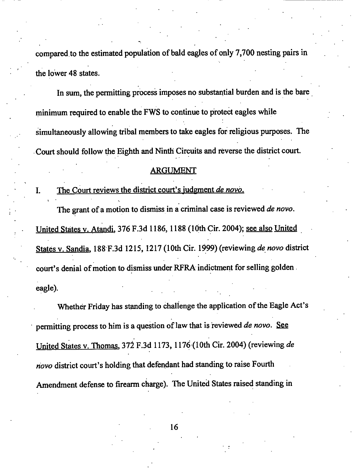compared to the estimated population of bald eagles of only 7,700 nesting pairs in the **lower** 48 states.

In sum, the permitting pr0cess imposes no substantial **burden** and is the **bare** minimum **required to enable** the **FWS** to continue **to** protect **eagles** while Simultaneously allowing tribal **members** to take **eagles for religious** purposes. **The** •Court should **follow** \_e **Eighth** and **Ninth** Circuits and **reverse** the **district** court.

#### ARGUMENT

I. **The** Court **reviews** the **district** court's iudgment *de nero.*

**t**

**The** grant **of** a motion to **dismiss in** a criminal ease is **reviewed** *de nero.* **United** States **v.** Atandi, **376 F.3d** 1186, 1188 **(10th** Cir. 2004); see also **United** States v. Sandia, 188 F.3d 1215, 1217 (10th Cir. 1999) (reviewing de novo district court's **denial of** motion **to dismiss** under **RFRA** indictment **for** selling golden• eagle).

Whether Friday has standing to challenge the application of the Eagle Act's • permitting process to him is a question of law that is **reviewed** *de novo.* See United States v. Thomas, 372 F.3d 1173, 1176.(10th Cir. 2004) (reviewing *de novo* district court's holding that defendant had standing to raise Fourth *Amendment* defense to firearm charge). The United States raised standing in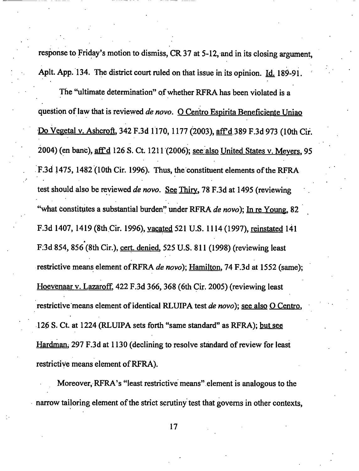response to Friday's motion to dismiss, CR 37 at 5-12, and in its closing argument, Aplt. App. 134. The district court ruled on that issue in its opinion. Id. 189-91.

The "ultimate determination" of whether RFRA has been violated is a question of law **that** is reviewed *de novo.* 0 Centro Espirita Benefieiente Uniao Do Vegetal v. Ashcroft, 342 F.3d 1170, 1177 (2003), aff'd 389 F.3d 973 (10th Cir. 2004) (en banc), aff'd 126 S. Ct. 1211 (2006); see also United States v. Meyers, 95 F.3d 1475, 1482 (10th Cir. 1996). Thus, the constituent elements of the RFRA test should also be reviewed *de novo*. See Thiry, 78 F.3d at 1495 (reviewing "what constitutes a substantial burden" under RFRA *de novo*); In re Young, 82 F.3d 1407, 1419 (Sth.Cir. 1996), vacated 521 U.S. 1114 (1997), reinstated 141 F.3d 854, 856 (8th Cir.), cert. denied, 525 U.S. 811 (1998) (reviewing least •restrictive means element of RFRA *de novo);* Hamilton, 74 F.3d at 1552 (same); Hoevenaar v. Lazaroff, 422 F.3d 366, 368 (6th Cir. 2005) (reviewing least restrictive means element of identical RLUIPA test *de novo*); see also O Centro, •126 S. Ct. at 1224 (RLUIPA sets forth "same standard" as RFRA); but see Hardman, 297 F.3d at 1130 (declining to resolve standard of review for least restrictive means element of RFRA).

Moreover, RFRA's "least restrictive means" element is analogous to the narrow tailoring element of the strict scrutiny test that governs in other contexts,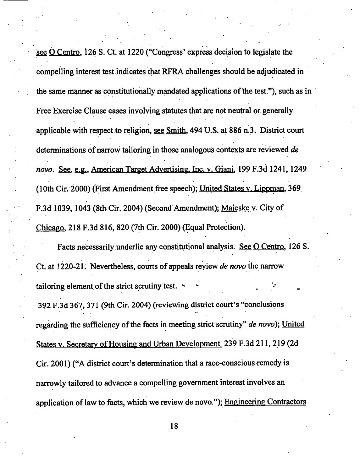see **0** Centre, **i** 26 **S.** Ct. at **1220** ("Congress' **express decision** to **legislate the** compelling interest test indicates that RFRA challenges should be adjudicated in the same manner as constitutionally mandated applications of the test."), such as in Free Exercise Clause cases involving statutes that are not neutral or generally applicable with respect to religion, see Smith, 494 U.S. at 886 n.3. District court determinations of narrow tailoring in those analogous contexts are reviewed *de novo.* See, e.\_\_., *American* Target Advertising, Inc. v. Giani, 199 F.3d 124•1, 1249 (10th Cir.2000) (First *Amendment.free* speech); United States v. Lippman, 369. F.3d 1039, 1043 (8th Cir. 2004) (Second Amendment); Majeske v. City of Chicago, 218 F.3d 816,820 (7th Cir. 2000)(Equal Protection).

Facts necessarily underlie any constitutional analysis. See O Centro, 126 S. Ct. at 1220-21. Nevertheless, courts of appeals review *de novo* the narrow tailoring element of the strict scrutiny test. 392 F.3d 367, 371 (9th Cir. 2004) (reviewing district court's "conclusions regarding the sufficiency of the facts in meeting strict scrutiny" *de novo*); United States v. Secretary of Housing and Urban Development 239 F.3d 211, 219 (2d Cir. 2001) ("A district court's determination that a race-conscious remedy is narrowly tailored to advance a compelling government interest involves an application of law to facts, which we review de novo."); Engineering Contractors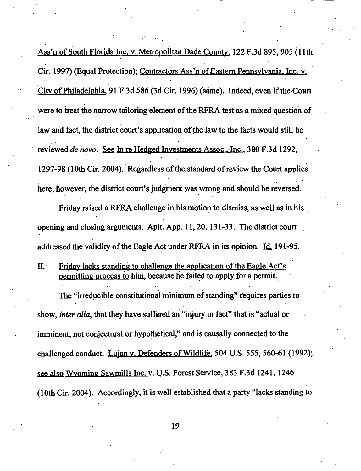• Ass'n of S0uth Florida.Inc. **v. Metropolitan** Dade County, 122 **F,3d 895,905** (11th Cir. 1997) (Equal **Protection);** Contractors Ass'n of Eastern Pennsylvania, Inc. v. **City of** Philadelphia, **91 F.3d** 586 (3d **Cir.** 19.96) (same). Indeed, even if the.Court were to treat the narrow tailoring element of the RFRA test as a mixed question of law and fact, the district court's application of the law to the facts would still be reviewed *de novo.* See In re Hedged Investments Assoc., Inc., 380 F.3d 1292, 1297-98 (10th Cir. 2004). Regardless of the standard of review the Court applies here, however, the district court's judgment was wrong and should be reversed.

Friday raised a RFRA challenge in his motion to dismiss, as well as in his opening and closing arguments. Aplt. App. 11, 20, 131-33. The district court. addressed the validity of the Eagle Act under RFRA in its opinion. Id. 191-95.

II. Friday lacks standing to challenge the application of the Eagle Act's permitting process to him, because he failed to apply for a permit.

The "irreducible constitutional minimum of standing" requires parties to show, *inter alia,* that they have suffered an "injury in fact" that is "actual or imminent, not conjectural or hypothetical," and is causally connected to the challenged conduct. Lujan v. Defenders of Wildlife, 504 U.S. 555, 560-61 (1992); see also Wyoming Sawmills Inc. v. U.S. Forest Service, 383 F.3d 1241, 1246 (10th Cir. 2004). Accordingly, it is well established that a party "lacks standing to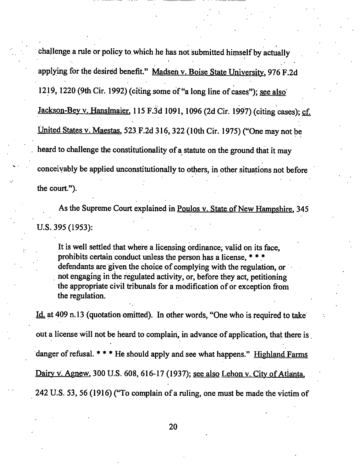eha!lenge **a** rule **or policy** to.which **he has** not submitted himself by actually applying for the desired benefit." Madsen v. Boise State University, 976 F.2d 1219, 1220 (9th Cir. 1992) (citing some of "a long line of cases"); see also Jackson-Bey v. Hanslmaier, 115 F.3d 1091, 1096 (2d Cir. 1997) (citing cases); of. United States v. Maestas, 523 F.2d 316, 322 (10th Cir. 1975) ("One may not be heard to challenge the constitutionality **of a statute on the** ground that it may conceivably be applied unconstitutionally to others, in other situations not before the court.").

As the Supreme Court explained in Poulos v. State of New Hampshire, 345 U.S. 395 (1953):

It is well settled that where a licensing ordinance, valid on its face, prohibits certain conduct unless the person has a license, \* \* \* defendants are given the choice of complying with the regulation, or • not engaging in the regulated activity, or, before they act, petitioning the appropriate civil tribunals for a modification of or exception from the regulation.

Id. at 409 n.13 (quotation omitted). In other words, "One who is required to take out a license will not be heard to complain, in advance of application, that there is. danger of refusal. \* \* \* He should apply and see what happens." Highland Farms Dairy v. Agnew, 300 U.S. 608, 616-17 (1937); see also Lehon v. City of Atlanta, 242 U.S. 53, 56 (1916) ("To complain of a *ruling,* one must be made the victim of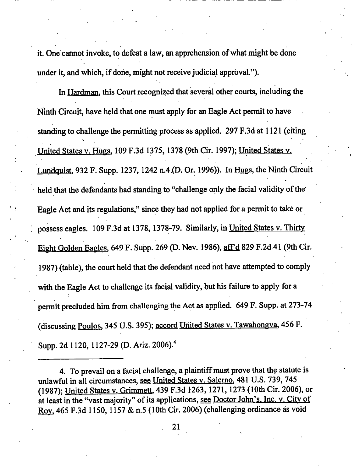**it.** Onecannot **invoke,** to **defeat a law, an apprehension of what mightbe done under it, and which, if done,** might not **receive** judicial **approval.").**

**In Hardman, this Court recognized** that **Several other courts, including** the **Ninth Circuit,** have held that **one** must apply for an **Eagle** Act **permit to** have **standing** to challenge the **permitting process as applied.** 297 F.3d **at 1121** (citing United States v. **Hugs,** 109 F.3d 1375, 1378 (9th.Cir. 1997); United States v. Lundauist, 932 F. Supp. 1237, 1242 n.4 (D. Or. 1996)). In Hugg, the Ninth Circuit " held that the **defendants** had standing to "challenge **only** the facial **validity of** the Eagle **Act** and **its** regulations," **since** they had n0t applied for a **permit** to **take or** possess eagles. 109 F.3d at 1378, 1378-79. Similarly, in United States v. Thirty Eight Golden Eagles, 649 F. Supp. 269 (D. Nev. 1986), aff'd 829 F.2d 41 (9th Cir. 1987 ) (table), the court held that the defendant need not have attempted to comply with the Eagle Act to challenge its facial validity, but his failure to apply for a permit precluded him from challenging the Act as applied. 649 F. Supp. at 273-74 (discussing Poulos, 345 U.S. 395); accord United States v. Tawahongva, 456 F. Supp. 2d 1120, 1127-29 (D. Ariz. 2006). 4

4. To **prevail on** a facial challenge, **a** plaintiff must prove that the statute **is** unlawful in all circumstances, see United States v. Salerno, 481 U.S. 739, 745 (1987); United States v. Grimmett, 439 F.3d 1263, 1271, 1273 (10th Cir. 2006), or at least in the "vast majority" of its applications, see Doctor John's, Inc. v. City of Roy, 465 F.3d 1150, 1157 & n.5 (10th Cir. 2006) (challenging ordinance as void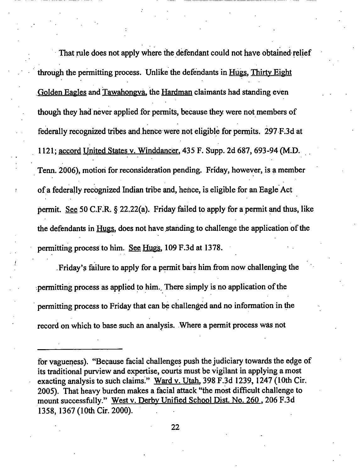That rule **does not apply** where **the defendant** could **not** have **obtained, relief** through the **permitting** process. Unlike the defendants in H\_\_u\_g\_,Thirty **Eight** Golden Eagles and Tawahongya, the Hardman claimants had standing even though they had **never applied for** permits, because they were not members of federally recognized tribes and hencewere not eligibl e **for** permits. 297F..3d **at** 1121; **accord united States** v. **Winddancer,** 435 **F. Supp.** 2d **687, 693-94** (M.D... Tenn. 2006), motion **for** reconsideration pending. Friday, however, **is a** member of a federally recognized Indian tribe and, hence, is eligible for an Eagle Act permit. See 50 C.F.R. § 22.22(a). Friday failed to apply for a permit and thus, like the defendants in Hugs, does not have standing to challenge the application of the permitting process to him. **See** Hug\_, 109 **F.3d at** 1378.

.Friday'.s failure to **apply** for a permit bars him **from** now challenging the " •.permitting process **as applied** to him... There **simply** is no **application** of **the** • permitting process **to Friday** that can b.e challenged and no **information** in the record on which to **base such** an analysis..Where **a** permit process was not

for vagueness). "Because facial challenges push the judiciary towards the edge of its traditional purview and expertise, courts must be vigilant in applying a most exacting analysis to such claims." Ward v. Utah, 398 F.3d 1239, 1247 (10th Cir. 2005). That heavy burden makes a facial attack "the most difficult challenge to mount successfully." West v. Derby Unified School Dist. No. 260, 206 F.3d 1358, 1367 (10th Cir. 2000).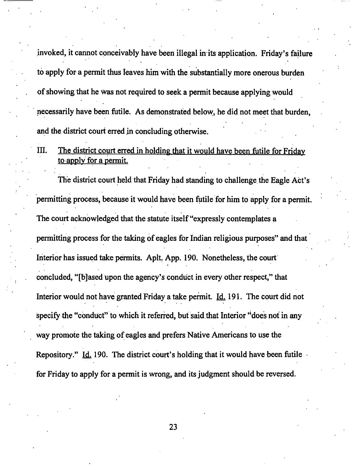•invoked, it cannot conceivably have **been illegal** in its **application. Friday's failure to** apply for a permit thus **leaves** him **with the** substantially more **onerous burden of** showing that he **was** not **required** to seek a permit **because** applying **would** • .necessarily have **been** futile. As **demonstrated below,** he **did** not meet that **burden,** and the district court erred in concluding otherwise.

## III. **The district** court erred in holding that it **would** have **been futile for Friday** to apply for a permit.

The district court held that Friday had standing to challenge the Eagle Act's permitting process, **because it** would have **been** futile **for** him **to** apply **for** a permit. **The** court acknowledged that the statute itself "expressly contemplates a permitting process **for** the taking **Of** eagles for Indian **religious** purposes" and that Interior has issued take permits. Aplt. App. 190. Nonetheless, the court **Concluded,** "[b]ased upon **the** agency's conduct in every **other respect,"** that Interior would not have granted Friday a take permit. Id. 191. The court did not specify the "conduct" to which it referred, but said that Interior "does not in any **way** promote the **taking of** eagles and prefers **Native** Americans to use the **Repository."** Id\_\_\_. 190. **The district** court's holding that it **would** have **been** futile **for Friday** to apply for a permit **is wrong,** and its judgment should **be reversed.**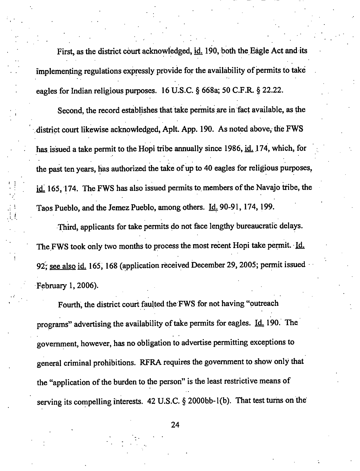First, as the district court acknowledged, id. 190, both the Eagle Act and its implementing regulations expressly provide for the availability of permits to take eagles for Indian religious purposes. 16 U.S.C. § 668a; 50 C.F.R. § 22.22.

i

i *:*

i

Second, the record establishes that take permits are in fact available, as the district court likewise acknowledged, Aplt. App. 190. As noted above, the FWS has issued a take permit to the Hopi tribe annually since 1986, id. 174, which, for the past ten years, has authorized the take of up to 40 eagles for religious purposes, id. 165, 174. The FWS has also issued permits to members of the Navajo tribe, the Taos Pueblo, and the Jemez Pueblo, among others. Id. 90-91, 174, 199.

•Third, applicants for take permits do not face lengthy bureaucratic delays. The FWS took only two months to process the most recent Hopi take permit. Id. 92; see also id. 165, 168 (application received December 29, 2005; permit issued •February 1, 2006).

Fourth; the district court faulted theFWS for not having "outreach programs" advertising the availability of take permits for eagles. Id. 190. The government, however, has no obligation to advertise permitting exceptions to general criminal prohibitions. RFRA requires the government to show only that the "application of the burden to the person" is the least restrictive means of serving its compelling interests. 42 U.S.C. § 2000bb-l(b). That test turns on the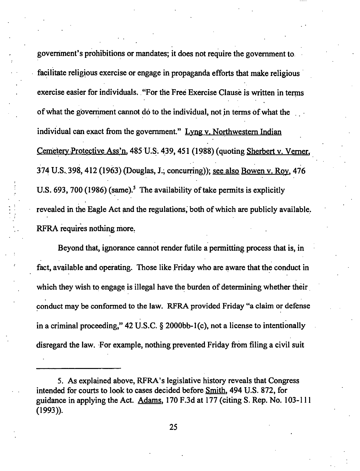government's **prohibitions or** mandates; **it does** not **require** the government to **facilitate relig!ous** exercise **or** engage **in propaganda efforts that** make **religious exercise easier for individuals.•** "For the **Free Exercise Clause is written in terms of what the** government cannot **do to the individual, not in terms ofwhat** the **individual** can **exact from** the **government." Lyng v. Northwestern Indian cemetery Protective Ass!n,** 485 **U.** S. **439,** 451 **(1988) (quoting Sherbert v. Vetoer,** 374 **U.S..398,** 412 **(1963) (Douglas,** J.; concurring)); **see also** Bowen **v.** ROY, 476 **U.S.** 693, 700 **(1986) (same).** 5 **The availability of take permits is explicitly revealed in the Eagle Act** and **the regulations, both of which are** publicly **available. RFRA requiies nothing more.**

**Beyond that, ignorance** cannot **render futile a permitting process** that **is, in fact, available and operating. Those like Friday who are aware** that the conduct **in which** they **wish tO** engage **is illegal have the burden of determining whether their** conduct **may be** conformed **to** the **law. RFRA provided Friday** "a claim **or defense in a** criminal **proceeding,"** 42 **U.S.C.** § **2000bb-l(c), not a license to intentionally disregard** the **law. For** example, **nothing prevented Friday from filing a** civil suit

<sup>5.</sup> As explained above,-RFRA's **legislative** history reveals that Congress intended for courts to look to cases decided before Smith, 494 U.S. 872, for guidance in applying the Act. Adams, 170 F.3d at 177 (citing S. Rep. No. 103-I 11 (1993)).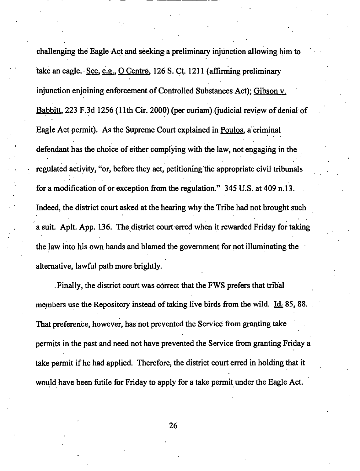challenging the Eagle Act and seeking a preliminary injunction allowing him to take an eagle. See, e.g., O Centro, 126 S. Ct. 1211 (affirming preliminary injunction enjoining enforcement of Controlled Substances *Act);* Gibson v. Babbitt, 223 F.3d 1256 (1 lth Cir. 2000) (per curiam) *(judicial* review of denial of Eagle Act permit). As the Supreme Court explained in <u>Poulos</u>, a criminal defendant has the choice of either complying with the law, not engaging in the regulated activity, "or, before they act, petitioning the appropriate civil tribunals for a modification of or exception from the regulation." 345 U.S. at 409 n. 13. Indeed, the district court asked at the hearing why the Tribe had not brought such a suit. Aplt. App. 136. The district court erred when it rewarded Friday for taking the law into his own hands and blamed the government for not illuminating the alternative, lawful path more brightly.

•Finally, the district court was correct that the FWS prefers that tribal members use the Repository instead of taking live birds from the wild. Id. 85, 88. That preference, however, has not prevented the Service from granting take permits in the past and need not have prevented the Service from granting Friday a take permit if he had applied. Therefore, the district court erred in holding that it would have been futile for Friday to apply for a take permit under the Eagle Act.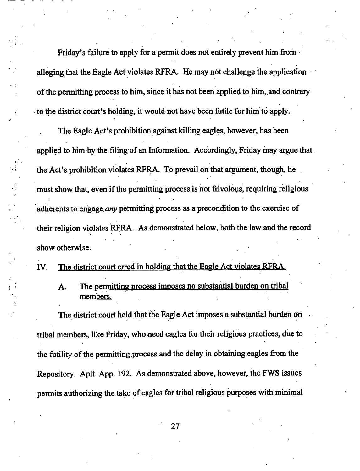**Friday's** failure to apply for **a permit does not** entirely **prevent** him from alleging that the Eagle Act violates RFRA. He may not challenge the application of the permitting process to him, since it has not been applied to him, and contrary •to the district court's holding, it would not have been futile for him to apply.

The Eagle Act's prohibition against killing eagles, however, has been applied to him by the filing of an Information. Accordingly, Friday may argue that. the *Act's* prohibition violates **RFRA.** To prevail onthat argument, though, he must show that, even if the permitting process is not frivolous, requiring religious **adherents** to engage, *any* pemaitting process as a precondition to the exercise of their religion violates RFRA. *As* demonstrated below, both the law and the record *show* otherwise.

## IV. The district court erred in holding that the Eagle Act violates RFRA.

*A.* The permitting process imposes no substantial burden on tribal members.

The district court held that the Eagle Act imposes a substantial burden **on** tribal members, like Friday, who **need** eagles for their religious practices, due to the futility of the permitting.process and the delay in obtaining eagles from the Repository. Aplt. *App.* 192. *As* demonstrated above, however, the FWS issues permits authorizing the take of eagles for tribal religious purposes with minimal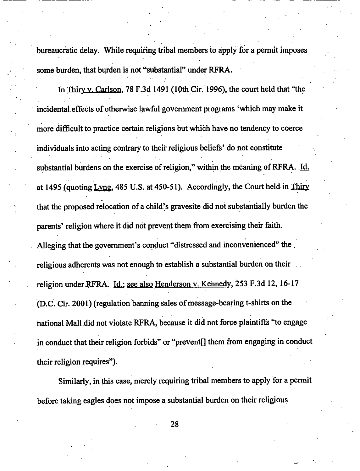**bureaucratic delay.** While requiring tribal members to apply for a permit imposes • **some** burden, that **burden is not** "substantial" under RFRA.

**In Thiry v. Carlson, 78 F.3d 1491 (10th.Cir.** 1996), the court **held** that "the **incidental, effects of otherwise lawful government programs 'which** may make **it more.** difficult to **practice** certain.religions but **which have no** tendency to **coerce** individuals **into acting contrary** to their **religious** beiiefs' **do** not **constitute** substantial burdens on the exercise of religion," within the meaning of RFRA. Id. **at 1495 .(quoting\_,** 485 **U.S. at** 450-51). Accordingly, **the Court held• in** that the **proposed reiocation of a child.'s gravesite did** not **substantially burden** the **parents' religion where it did** not **prevent** them **from exercising** their **faith. Alloging** that the **government's conduct** "distressed and **inconvenienced"** the. **religious adherents was not enough** to •establish **a substantial burden on** their .. **religion under.RFRA. Id\_\_\_.; see also Henderson** V. Kennedy, **253 F.3d 12, 16-17** (D.C. **Cir. 2001) (regulation banning sales of message-bearing** t-shirts **on** the **national** Mall.did **not violate RFRA, because it did not force plaintiffs** "to **engage in conduct** that their **religion forbids" or** "prevent[] them from **engaging in conduct** their **religion** requires").

Similarly, in **this** case, merely requiring tribal members to apply for a permit before taking eagles does not impose a substantial burden on their religious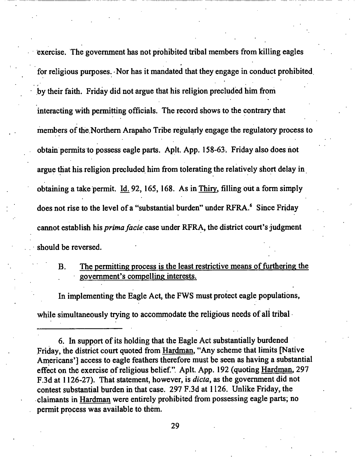exercise. **The** government **has not prohibited** tribal members from killing **eagles** for religious purposes. *,*Nor has it mandated that they engage in conduct prohibited. by their faith. Friday did not argue that his religion precluded him from interacting with permitting officials. The record *shows* to the **contrary** that members of the Northern Arapaho Tribe regularly engage the regulatory process to obtainpermitsto possess eagle parts. *Aplt.* App. 158-63. Friday **also** does **not** argue that his religion precluded him from tolerating the relatively short delay in obtaining a take permit. Id. 92, 165, 168. As in Thiry, filling out a form simply does not rise to the level of a "substantial burden" under RFRA.<sup>6</sup> Since Friday cannot establish his *prima facie* case under RFRA, the district court's judgment **should** be reversed.

nJ **The** permitting **process is the least** restrictive **means of furthering the government's compelling interests.**

In **implementing** the **Eagle** Act, the FWS must protect eagle populations, **while simultaneously** trying to accommodate the religious needs of ali tribal-

**<sup>6.</sup>** In **suppgrt of** its holding that **the Eagle** Act **substantially** burdened Friday, the district court quoted from Hardman, "Any scheme that limits [Native Americans'] access to eagle feathers therefore must be seen as having a **substantial** effect on the exercise of religious belief." Aplt. App. 192 (quoting Hardman, 297 F.3d at 1126-27). That **statement,** however, is *dicta,* as the government did not contest substantial burden in that case. 297 F.3d at 1126. Unlike Friday, the .claimants in Hardman were entirely prohibited from possessing eagle parts; no permit process was available to them.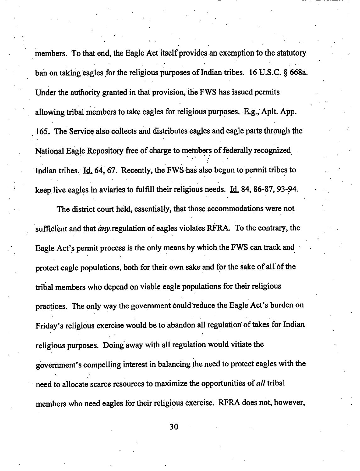members. To that end, the **Eagle** Act itself **provides** an exemption to the **statutory** ban on taking eagles for the religious purposes of Indian tribes. 16 U.S.C. § 668a. Under the authority granted in that provision, the FWS has issued permits allowing tribal members to take eagles for religious purposes.  $E.g.,$  Aplt. App. 165. The Service also collects and distributes eagles and eagle parts through the National Eagle Repository free of charge to members of federally recognized -independent of the contract of the contract of the contract of the contract of the contract of the contract of the contract of the contract of the contract of the contract of the contract of the contract of the contract Indian tribes. Id. 64, 67. Recently, the FWS has also begun to permit tribes to keep live eagles in aviaries to fulfill their religious needs. Id. 84, 86-87, 93-94.

The district court held, essentially, that those accommodations were not sufficient and that *any.regulation* of eagles violates RFRA. To the contrary, the Eagle *Act' s* permit process is the only means by which the FWS can track and protect eagle populations, both for their own sake and for the *Sake* of all.of the tribal members who depend on viable eagle populations for their religious practices. The only way the government could reduce the Eagle Act's burden on Friday's religious exercise would be to abandon all regulation of takes for Indian religious purposes. Doing away with all regulation would vitiate the government's compelling interest in balancing \_he need to protect eagles with the • need to allocate scarce resources to maximize the opportunities of *all* tribal members who need eagles for their religious exercise. RFRA does not, however,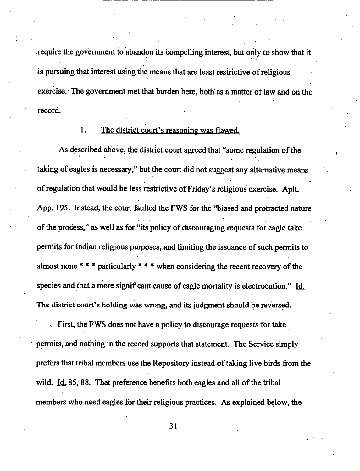.require the government **to** abandon its compelling interest, but **only to** show **that** it is pursuing that interest using the means that are least restrictive of religious exercise. The government met that burden here, both as a matter of law and on the **record.**

I •

# **1.** The **district court's** reasoning **was flawed.**

As described above, the district court agreed that "some regulation of the taking of eagles is necessary," but the court did not suggest any alternative means of regulation that would be less restrictive of Friday's religious exercise, Aplt. *App.* 195. Instead, the court faulted the FWS for the \_'biased and protracted nature **Of** the process," as well as for "its policy of discouraging requests for eagle take permits for Indian religious purposes, and limiting the issuance of such permits to almost none  $* * *$  particularly  $* * *$  when considering the recent recovery of the species and that a more significant cause of eagle mortality is electrocution." Id. The district court's holding was wrong, and its judgment should be reversed.

First, the FWS does not have a policy to discourage requests for take permits, and nothing in the record supports that statement. The Service simply prefers that tribal members use the Repository instead of taking live birds from the wild. Id. 85, 88. That preference benefits both eagles and all of the tribal members who need eagles for their religious practices. As explained below, the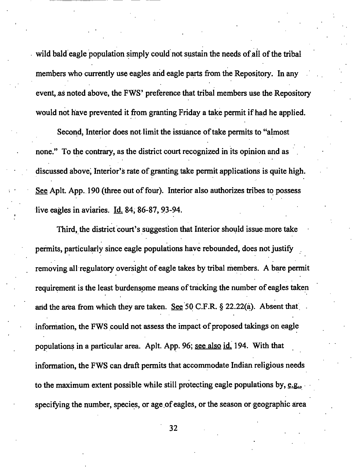wild **bald** eagle **population** simply could'not sustain the **needs of ail of** the tribal members who currently use eagles and eagle parts from the Repository. In any event, as noted above, the FWS' preference that tribal members use the Repository would not have prevented it from granting Friday a take permit if had he applied.

Second, Interior does not limit the issuance of take permits to "almost none." To the contrary, as the district court recognized in its opinion and as discussed above, Interior's rate of granting take permit applications is quite high. See Aplt. App. 190 (three out of four). Interior also authorizes tribes to possess live eagles in aviaries. Id. 84, 86-87, 93-94.

Third, the district court's suggestion that Interior should issue more take permits, particularly since eagle populations have rebounded, does not justify removing all regulatory oversight of eagle takes by tribal members. A bare permit requirement is the least burdensome means of tracking the number of eagles taken and the area from which they are taken. See 50 C.F.R.  $\S$  22.22(a). Absent that information, the FWS could not assess the impact of proposed takings on eagle populations in a particular area. Aplt. App. *96;* see also id. 194. With that information, the FWS can draft permits that accommodate Indian religious needs to the maximum extent possible while still protecting eagle populations by,  $e.g.,$ specifying the number, species, or age.of eagles, or the season or-geographic area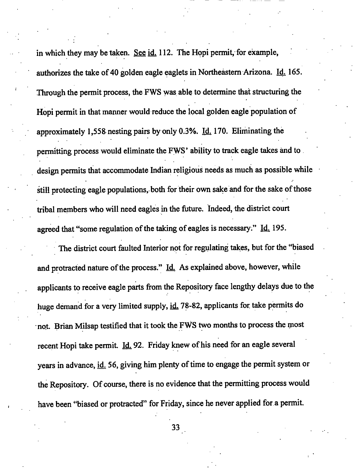in **which they may betaken. See** id. **112. The Hopi** permit, **for** example, authorizes the take of 40 golden eagle eaglets in Northeastern Arizona. Id. 165. *Through* the **permit process, the FWS** was **able to determine thai structuring the H0pi permit** in that **manner would reduce the** ioeal golden eagle•population **of approximately** 1,558 nesting pairs by only 0.3%. Id. 170. Eliminating the **permitting process would** eliminate **the FWS' ability to track eagle takes and to design permits that accommodate Indian religious needs as much as possible while** §till **protecting eagle populations,both for•their own** sakeand **for** the **sake of those tribal members who will need** eagles !n **the future. Indeed, the district** court **agreed** that "some **regulation of** the **taking of** eagles **is necessary." Id\_\_\_\_.** 195.

**The district** court **faulted Interior not for regulating takes, but for** the "biased and protracted nature of the process." Id. As explained above, however, while **applicants tOreceive** eagle **parts from the Repos!tory face lengthy delays due to** the **huge demand for a very limited supply, id\_\_\_.** 78-82, **applicants for.** take **permits do •no.t. Brian Milsap testified that** it **took the FWS two** months **to process** the **most recent Hopi take permit. Id\_\_\_. 92. Friday l\_ew of his need for** an **eagle several years** in **advance, id\_\_.**56, giving **him plenty of time to** engag.e **the permit system or** the **Repository.** Of **course,** there **is** no evidence **that the permitting process** would **have been** "biased **or protracted" for Friday, since he** never **applied fora permit.**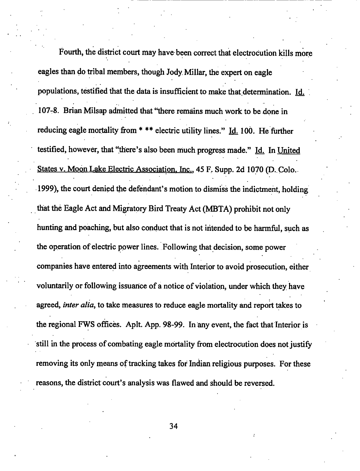Fourth, the district court may have been correct that electrocution kills more eagles than do tribal members, though Jody Millar, the expert on eagle populations, testified that the data is insufficient to make that determination. Id. 107-8. Brian Milsap ad\_nitted that "there remains much work to be done in reducing eagle mortality from  $***$  electric utility lines." Id. 100. He further testified, however, that "there's also been much progress made." Id. In United States v. Moon Lake Electric Association, Inc., 45 F. Supp. 2d 1070 (D. Colo. 1999), the court denied the defendant's motion to dismiss the indictment, holding that the Eagle *Act* and Migratory Bird Treaty Act (MBTA) prohibit not only hunting and poaching, but also conduct that is not intended to be harmful, such as the operation of electric power lines. Following that decision, some power companies have entered into agreements with Interior to avoid prosecution, either voluntarily or following issuance of a notice of violation, under which they have agreed, *inter alia,* **to** take measures to reduce eagle mortality and **repo\_** takes to the regional FWS offices. Aplt. App. 98-99. In any event, the fact that Interior is still in the process of combating eagle mortality from electrocution does not justify removing its only means of tracking takes for Indian religious purposes. For these reasons, the district court's analysis was flawed and should be reversed.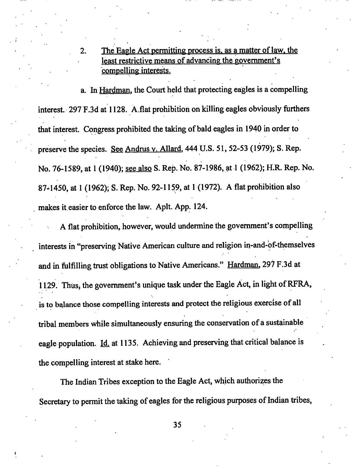2. The Eagle Act **permitting** process is, **as a matter of** law, the least restrictive means of advancing the government's compelling interests.

a. In Hardman, the Court held that protecting eagles is a compelling interest. 297 F.3d at 1128. A,flat prohibition on killing eagles obviously furthers that interest. Congress prohibited the taking of bald eagles in 1940 in order to preserve the species. See Andrus v. Allard, 444 **U.S.** 51, 52-53 (1979); S. Rep. **No.** 76-1589, at 1 (1940); **see** alsq S. Rep. No. 87-1986, at 1 (1962); H.R. Rep. **No. 87-1450,** at 1 (1962); S. Rep. No. 92-1159, at 1 (1972). A flat prohibition also makes it easier to enforce the law. Aplt. App. 124.

A flat prohibition, however, would undermine the government's compelling interests in "preserving Native American culture and religion in-and-of-themselves and in fulfilling trust obligations to Native Americans." Hardman, 297 F.3d at 1129. Thus, the government's unique task under the Eagle Act, in light of RFRA, is to balance those compelling interests and protect the religious exercise of all tribal members while simultaneously ensuring the conservation of a **sustainable** eagle population. *Id.* at 1135. Achieving and preserving that critical balance is the compelling interest at stake here.

The Indian Tribes exception to the Eagle Act, which authorizes the Secretary to permit the taking of eagles for the religious purposes of Indian tribes,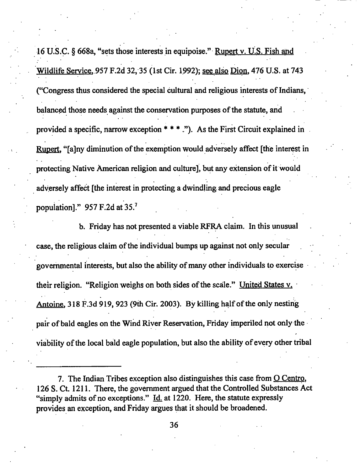•16 U.S.C. § **668a,** "sets those interests in equipoise. "• Rupert v. **U\_S.** Fish and •Wildlife **Serviee.,.957** F.2d 32¢35 (lst Cir. 1992); see also Dion, 476 U.S. at 743 ("Congress thus considered the special cultural and religious interests of Indians, • balanced those needs against the conservation purposes of the statute, and provided a specific, narrow exception  $* * * ?'$ ). As the First Circuit explained in Rupert, "[a]ny diminution of the exemption would adversely affect [the interest in protecting Native **American** religion and culture], but any extension Of it would adversely affect [the interest in protecting a dwindling and precious eagle population]."  $957$  F.2d at 35.<sup>7</sup>

b. Friday has not presented a viable RFRA claim. In this unusual ease, the religious claim of the individual bumps up against not only secular governmental interests, but also the ability of many other individuals to exercise their religion. "Religion weighs on both sides of the scale." United States v. *Antoine.,* 318 F.3d 919, 923 (9th Cir. 2003). By killing half of the only nesting pair of bald eagles on the Wind River Reservation, Friday imperiled not only the. viability of the local bald eagle population, but also the ability of every other tribal

<sup>7.</sup> The Indian Tribes exception also distinguishes this case from  $Q$  Centro, 126 S. Ct. 1211. There, the government argued that the Controlled Substances *Act* "simply admits of no exceptions."  $\underline{Id}$  at 1220. Here, the statute expressly provides an exception, and Friday argues that it should be broadened.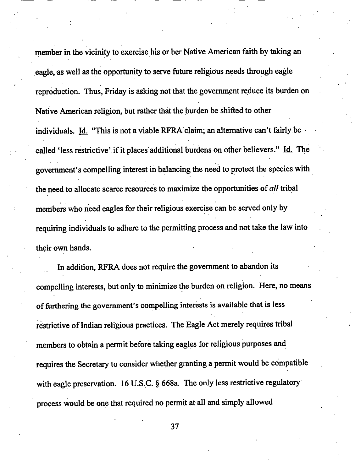member **in** the Vicinity to exercise **his or** her Native *American* faith by taking an eagle, as welt as the opportunity to serve future religious needs through eagle reproduction. Thus, Friday is asking not that the government reduce its burden on Native American religion, but rather that the burden be shifted to other individuals. Id. "This is not a viable RFRA claim; an alternative can't fairly be called 'less restrictive' if it places additional burdens on other believers." Id. The government's compelling interest in balancing the need to protect the species-with the need to allocate scarce resources to maximize the opportunities of *all* tribal members who need eagles for their religious exercise can be served only by requiring individuals to adhere to the permitting process and not take the law into their own hands.

In addition, RFRA does not require the government to abandon its compelling interests, but only to minimize the burden on religion. Here, no means of furthering the government's compelling interests is available that is less restrictive **of Indian** religious practices. The Eagle *Act* merely requires tribal members to obtain a permit before taking eagles for religious purposes and requires the Secretary to consider whether granting a permit would be compatible with eagle preservation. 16 U.S.C.  $\S$  668a. The only less restrictive regulatory process would be one that required no permit at all and simply allowed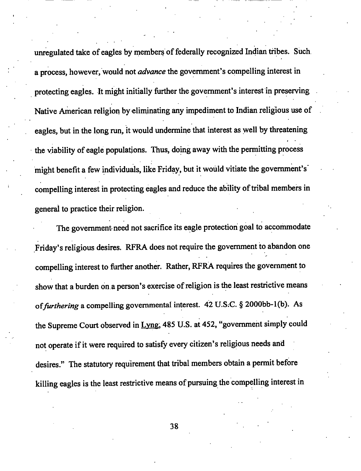unregulated take **of eagles bymembers, of** federally **recognized Indian** tribes. **Such•** a process, however, would not *advance* the government's compelling interest in protecting eagles. It might initially further the government's interest in preserving Native American religion by eliminating any impediment to Indian religious use of eagles, but in the long run, it would undermine that interest as well by threatening the viability of eagle populations. Thus, doing away with the permitting process might benefit a few individuals, like Friday, but it would vitiate the government's compelling interest in protecting eagles and reduce the ability of tribal members in general to practice their religion.

The government need not sacrifice its eagle protection goal to accommodate Friday's religious desires. RFRA does not require the government to abandon one compelling interest to further another. Rather, **RFRA** requires the government to show that a burden on a person's exercise of religion is the least restrictive means of *furthering* a compelling governmental interest. 42 U.S.C. § 2000bb-l(b). As the Supreme Court observed in Lyng, 485 U.S. at 452, "government simply could not operate if it were required to satisfy every citizen's religious needs and desires." The statutory requirement that tribal members obtain a permit before killing eagles is the least restrictive means of pursuing the compelling interest in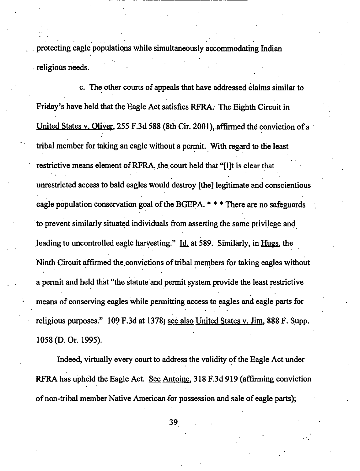• **protecting eaglepopulati0ns** while simultaneously **accommodating Indian** •religious **needs.**

c. **The other** courts **of appeals that have addressed Claims similar to Friday's have held** that the **Eagle Act satisfies RFRA.. The Eighth.Circuit** in •**United States v.** Oliver., **255 F.3d** 588 **(Sth Cir.** 2001),. **affirmed the** conviction **of a. tribal member for taking an** eagle **without a permit. With regard to the least** restrictive means element of RFRA, the court held that "[i]t is clear that unrestricted access to bald eagles would destroy [the] legitimate and conscientious eagle population conservation goal of the BGEPA. \* \* \* There are no safeguards to prevent similarly situated individuals from asserting the same privilege and leading to uncontrolled eagle harvesting." Id. at 589. Similarly, in Hugs, the Ninth Circuit affirmed the convictions of tribal members for taking eagles without a permit and held that "the statute and permit system provide the least restrictive means of conserving eagles While permitting **access** to eagles and eagle parts for religious purposes." 109 F.3d at 1378; see also United States v. Jim, 888 F. **Supp.** 1058 (D. Or. 1995).

Indeed, virtually every court to address the validity of the Eagle Act under RFRA has upheld the Eagle Act. See Antoine., 318 F.3d *919* (affirming conviction of non-tribal member Native American for possession and sale of eagle parts);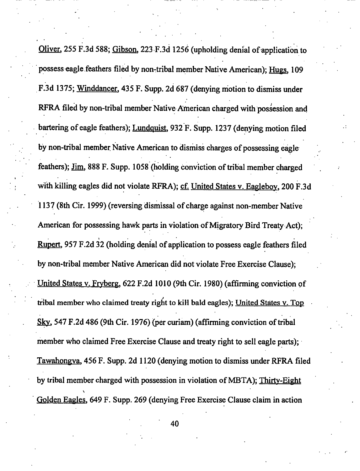**Oliver, 255 F.3d** 588; Gibson., **223.F.3d** 1256 (upholding **denial ofapplicationto** possess eagle feathers filed by non-tribal member Native American); Hugs, 109 F.3d 1375; Winddaneer., 435 F. Supp. *2d* 687 (denying **motion** to dismiss under RFRA filed by non-tribal member Native American charged with possession and bartering of eagle feathers); Lundquist, 932 F. Supp. 1237 (denying motion filed by non-tribal member Native American to **dismiss** Charges of possessing eagle feathers); Jim, 888 F. Supp. 1058(holding eonviction of tribal member eharged with killing eagles did not violate RFRA); cf. United States v. Eagleboy, 200 F.3d 1137. (8th Cir. 1999) (reversing dismissal of charge against non-member Native American for possessing hawk parts in violation of Migratory Bird Treaty Act); Rupert, 957 F.2d 32 (holding denial of application to possess eagle feathers filed by non-tribal member Native American did not violate Free Exercise Clause); .United States v. Fryberg, 622 F.2d 1010 (9th Cir. 1980) (affirming conviction of tribal member who claimed treaty right to kill bald eagles); United States v. To Sky, 547 F.2d 486 (9th Cir. 1976) (per curiam) (affirming conviction of tribal member who claimed Free Exercise Clause and treaty right to sell eagle parts); Tawahongva, 456 F. Supp. 2d 1120 (denying motion to dismiss under RFRA filed by tribal member charged with possession in violation of MBTA); Thirty-Eight Golden Eagles, 649 F. Supp. 269 (denying Free Exercise Clause claim in action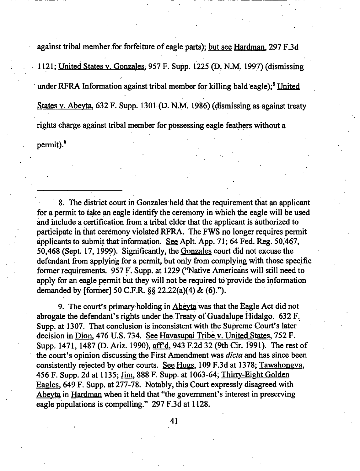against **tribal member for forfeiture of** eagle parts); but see Hardman, 297 **F.3d** 1121; *United States v. Gonzales, 957 F. Supp. 1225 (D. N.M. 1997)* (dismissing **under RFRA Information against tribal member for** killing **bald** eagle); **s Llnited States v. Abeyta, 632 F.** Supp. ! **301** (D. **N.M.** 1986) (.dismissing **as against treaty rights** charge **against** tribal **member for possessing** eagle **feathers without a permit)?**

8. The district court in Gonzales held that the requirement that an applicant for a permit to take an eagle identify the ceremony in Which the eagle will be used and include a certification from a tribal elder that the applicant is authorized to participate in that ceremony violated RFRA. The FWS no longer requires permit applicants to **submit** that information. See *Aplt.* App. 71; 64 Fed. Reg. 50,467, 50,468 (Sept. 17, 1999). Significantly, the Gonzales court did not excuse the defendant from applying for a permit, but only from complying with those specific. former requirements. 957 F. Supp. at 1229 ("Native *Americans* will still need to apply for an eagle permit but they will not be required to provide the information demanded by [former] 50 C.F.R. §§ 22.22(a)(4) & (6).").

9. The court's primary holding in Abeyta was that the Eagle *Act* did not abrogate the defendant's rights under the. Treaty of Guadalupe Hidalgo. 632 F. Supp. at 1307. That conclusion is inconsistent with the Supreme Court's later decision in Dion, 476 U.S. 734. See Havasupai Tribe v. United States, 752 F. Supp. 1471, 1487 (D. Ariz. 1990), aff'd, 943 F.2d 32 (9th Cir. 1991). The rest of the court's opinion discussing the First Amendment was *dicta* and has since been consistently rejected by other courts. See Hugs, 109 F.3d at 1378; Tawahongva, 456 F. Supp. 2d at 1135; Jim, 888 F. Supp. at 1063-64; Thirty-Eight Golden Eagles, 649 F. Supp. at 277-78. Notably, this Court expressly disagreed with Abeyta in Hardman when it held that "the government's interest in preserving eagle populations is compelling." 297 F.3d at 1128.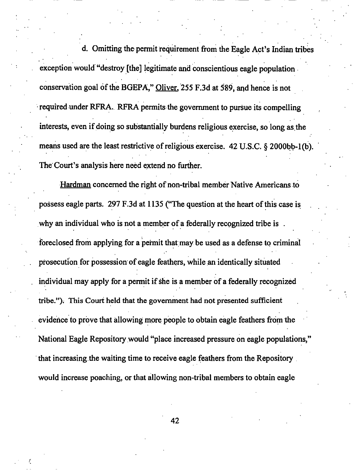**d.** Omitting the. **permit requirement** from the **Eagle** Act's Indian tribes exception would "destroy [the] legitimate and conscientious eagle population. conservation goal of the BGEPA," Oliver, 255 F.3d at 589, and hence is not required under RFRA. RFRA permits the government to pursue its compelling interests, even if doing so substantially burdens religious exercise, so long as the means used are the least restrictive of religious exercise.  $42 \text{ U.S.C.}$  § 2000bb-1(b). The Court's analysis here need extend no further.

Hardman concerned the right of non-tribal member Native Americans to possess eagle parts. 297 F.3d at 1135 ("The question at the heart of this ease is why an individual who is not a member of a federally recognized tribe is. foreclosed from applying for a permit that may be used as a defense to criminal prosecution for possession of eagle feathers, while an identically situated individual may apply for a permit if She is **a** member of a federally recognized tribe."), This Court held that the government had not presented sufficient evidence to prove that allowing more people to obtain eagle feathers from the National Eagle Repository.would "place increased pressure on eagle populations," that increasing the waiting time to receive eagle feathers from the Repository would increase poaching, or that allowing non-tribal members to obtain eagle

i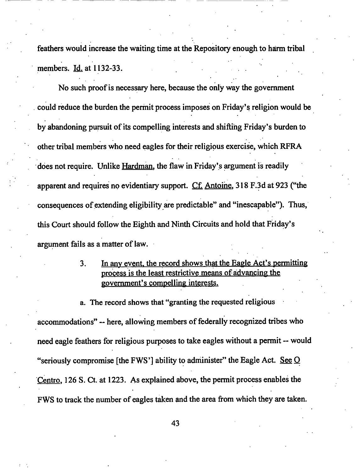**feathers** would increase the waiting time at the **Repository** enough **to** harm **tribal members. Id\_\_\_. at 1132-33.**

**No** such proof **is** necessary **here, because** the **only way the** government • could •**reduce** the **burden** the **permit process imposes on Friday's religion would be by abandoning pursuit of its** compelling **interests and** shifting **Friday's burden to other tribal** members who need eagles for their religious exercise, which RFRA •**does not require. Unlike Hardman, the flaw in Friday's argument is readily** apparent and requires no evidentiary support. Cf. Antoine, 318 F.3d at 923 ("the consequences **of** extending eligibility **are predictable" and** "inescapable"). **Thus,** • **this Court** should **follow the Eighth and Ninth Circuits** and **hold that Friday's** argument **fails as a matter of law.**

> **3.** In **any** event, the reoord shows that the **Eagle Act's** permitting process is the least restrictive means of advancing the government's compelling interests.

a. The record shows that "granting the requested religious accommodations" -- here, allowing members of federally recognized tribes who need eagle feathers for religious purposes to take eagles without a permit -- would "seriously compromise [the FWS'] ability to administer" the Eagle Act. See  $Q$ Centro, 126 S. Ct. at 1223. As explained above, the permit process enables the FWS to track the number of eagles taken and the area from which they are taken.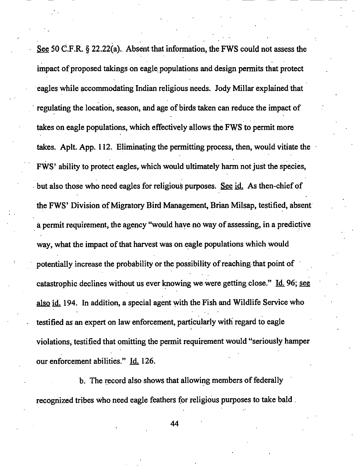Se\_.\_\_¢ 50 **C.F.R.** § 22.22(a). Absent **that information, the FWS** could **not assess** the **impact of** proposed takings **on** eagle.populations and **design** permits that protect eagles **while** accommodating Indian **religious** needs. **Jody** Millar **explained** that • **regulating** the **location,** season, and age **of birds** taken can **reduce** the impact **of** takes **on** eagle populations, which effectively allows the **FWS** to permit **more** takes. Aplt. App. 112. Eliminating the permitting process, then, would vitiate the **FWS'** ability to protect eagles, **which would** ultimately harm not just the species, • **but** also those who need eagles for religious purposes. See id. As then-chief **of** the FWS' Division of Migratory Bird Management, Brian Milsap, testified, absent •a permit requirement, the agency "would have no way of assessing, in a predictive way, what the impact of that harvest was on eagle populations which would potentially increase the probability or the possibility of reaching that point of catastrophic declines without us ever knowing we were getting close." Id. 96; see also id. 194. In addition, a special agent with the Fish and Wildlife Service who testified as an expert on law enforcement, particularly with regard to eagle violations, testified that omitting the permit requirement would "seriously hamper our enforcement abilities." Id. 126.

b. *The* record also shows that allowing members of federally recognized tribes who need eagle feathers for religious purposes to take bald.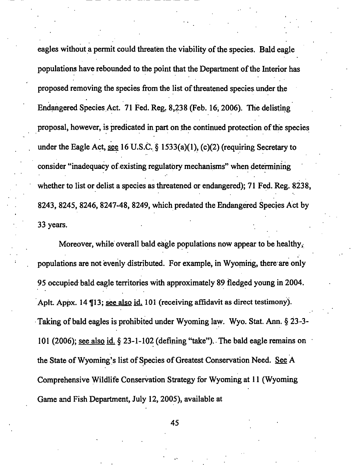eagles **without** a **permit** could threaten **the viability of** the species. Bald eagle populations have rebounded to the point that the Department of the Interior has proposed removing the species from the list of threatened species under the Endangered Species Act. 71 Fed. Reg. 8,238 (Feb. 16, 2006). The delisting proposal, however, is predicated in part on **the** continued protection of the species under the Eagle Act, see 16 U.S.C. § 1533(a)(1), (c)(2) (requiring Secretary to consider "inadequacy of existing regulatory mechanisms" when determining whether to list or delist a species as threatened or endangered); 71 Fed. Reg. 8238, 8243, 8245, 8246, 8247-48, 8249, which predated the Endangered Species Act by 33years.

Moreover, while overall bald eagle populations now appear to be healthy;. populations are not evenly distributed. For example, in Wyoming, there are only 95 occupied bald eagle territories with approximately 89fledged young in 2004. Aplt. Appx. 14 [13; see also id. 101 (receiving affidavit as direct testimony). •Taking of bald eagles is prohibited under Wyoming law. Wyo. Stat. Ann. § *23-3-* 101 (2006); see also id. § 23-1-102 (defining "take"). The bald eagle remains on the State of Wyoming's list of Species of Greatest Conservation Need. See A Comprehensive **Wildlife** Conser\_cation Strategy for Wyoming at 11 (Wyoming Game and Fish Department, July 12, 2005), available at

45

o-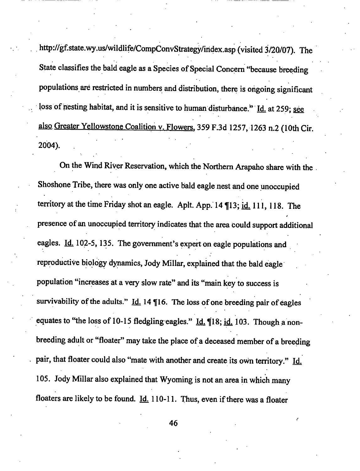http://gf.state.wy.us/wildlife/CompConvStrategy/index.asp (visited 3/20/07). The State classifies the **bald** eagle as a Species **of** Special Concern "because breeding populations are **restricted** in numbers and **distribution,** there is **ongoing** significant loss of nesting habitat, and it is sensitive to human disturbance." Id. at 259; see also\_ Greater Yellowstone Coalition **v. Flowers, 359 F.3** d 1257, 1263 n.2 **(10th** Cir. 2004).

On the **Wind River Reservation, which** the Northern Arapaho share **with** the Shoshone **Tribe,** there **was only one** active bald eagle nest and **one** unoccupied **territory** at the time **Friday** shot an eagle. Aplt. App. 14 ¶13; id\_\_\_,. 111, 118. **The** presence **of** an unoccupied territory **indicates** that the area could support additional eagles. Id. 102-5, 135. The government's expert on eagle populations and reproductive biology dynamics, Jody Millar, explained that the bald eagle population "increases at a very slow rate" and its "main keyto success is survivability of the adults." Id. 14 | 16. The loss of one breeding pair of eagles equates to "the loss of 10-15 fledgling eagles." Id. 18; id. 103. Though a nonbreeding adult or "floater" may take the place of a deceased member of a breeding pair, that floater could also "mate with another and create its own territory." Id. 105. Jody Millar also explained that Wyoming is not an area in which many floaters are likely to be found. Id. 110-11. Thus, even if there was a floater

46

f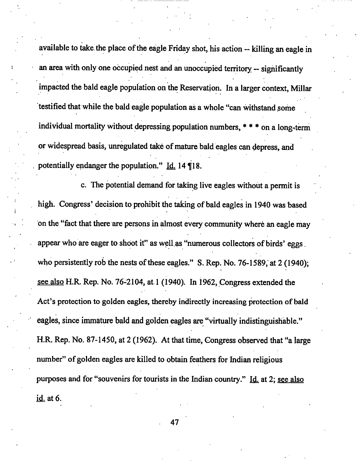**available** to/ake **the** place **of** the **eagle Friday** shot, his **action -- killing** an eagle **in** an area **with only one occupied** nest and an unoccupied territory **--** significantly **impacted** the **bald eagle** population **on** the **Reservation.** In a **larger** context, Millar testified that while the bald eagle population as a whole "can withstand some **individual mortality without depressing population numbers,**  $* * *$  **on a long-term or widespread** basis, unregulated take **of** mature bald eagles can depress, and potentially endanger the population."  $\underline{Id}$ . 14 ¶18.

e. The potential demand for taking live eagles without a permit is high. Congress' decision to prohibit the taking of bald eagles in 1940 was based on the "fact that there are persons in almost every community where an eagle may appear who are eager to shoot it" as well as "numerous collectors of birds' eggs. who persistently rob the nests of these eagles." S. Rep. No. 76-1589, at 2 (1940); see also H.R. Rep. No. 76-2104, at  $1$  (1940). In 1962, Congress extended the Act's protection to golden eagles, thereby indirectly increasing protection of bald eagles, since immature bald and golden eagles are "virtually indistinguishable." H.R. Rep. No. 87-1450, at 2 (1962). At that time, Congress observed that "a large number" of golden eagles are killed to obtain feathers for Indian religious purposes and for "souvenirs for tourists in the Indian country." Id. at 2; see also id. at 6.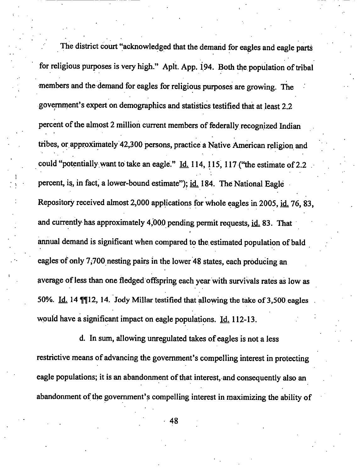**The** district **court** "acknowledged **that the demand for eagles** and **eagle** parts **for religious purposes** is **very high." Aplt. App.** i94. **Both** thepopulation **of tribal •members and thedemand for eagles for religious purposes are** growing. **Tie government's expert on demographics and statistics testified that at least 2.2 percent of** the **almost 2 million current members of federally recognized Indian tribes, or appm:\_imately•42,300 persons, practice a Native American religion and could** "potcntiallywant **to take an eagle." Id\_\_\_\_. 114, 115, 117 ("the estimate of 2.2 percent, is, in fact, a lower-bound estimate");** id\_\_.**184. The National Eagle Repository received almost 2,000 app!ications for whole** eagle **s in 2005,** id\_\_\_. **76,** •83, and cun-ently **has approximately 4,'000 pending permit requests,** id\_\_\_. **83. That annual demand is significant when compared to** the• **estimated population of bald eagles** •**of only** 7;700 nesting **pairs** in **the lower 48 states, each producing an average of less** than **one fledgedoffspring each year with survivals rates as low as 50%. Id\_\_\_. 14** ¶¶12, **14. Jody Millar testified that allowing the take of 3,50Oeagles would have a significant impact on eagle populations. Id\_\_.112-13.**

**d. In sum, allowing unregulated takes of eagles** is **not a less restrictive means of advancing the** government's **compelling interest** in **protecting eagle populations; it** is **an abandonment of** that interest, **and consequently also an abandonment of** the government's **compelling** interest in maximizing the **ability of**

**" •** 48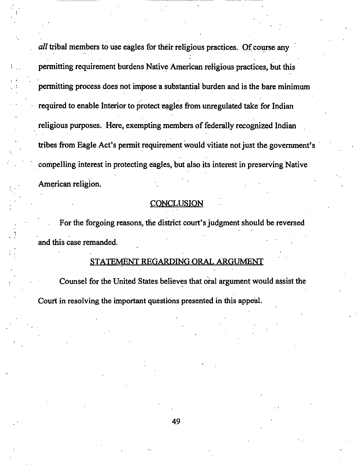*all* tribal **members** tO **Use eagles for** their religious **practices.** Of **course any permitting requirement** burdens Native **American religious practices, but this permitting** process **does** not impose a substantial **burden** and **is** the **bare** minimum required to enable **Interior** to **protect eagles** from unregulated take for Indian religious **purposes.** Here, exempting members **of** federally recognized hadian tribes from Eagle Act's **permit requirement** WoUld vitiate **not just** the government's compelling **interest in** protecting eagles, but **also its** interest **in preserving** Native American religion.

## **CONCLUSION**

For the forgoing reasons, the district court's judgment should be reversed and this case remanded.

## STATEMENT REGARDING ORAL ARGUMENT

Counsel for the United Statesbelieves that oral argument **would** assist the Court in resolving the important questions presented in this appeal.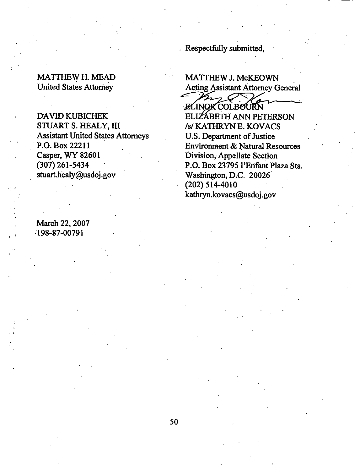# MATTHEW H. MEAD **United** States Attorney

DAVID **KUBICHEK STUART S.** HEALY, **III Assistant United States Attorneys P.O. Box 22211** Casper, WY **82601 (307) 261-5434 stuart.healy@usdoj.gov**

March 22, 2007 -198-87-00791

• Respectfully submitted,

MATTHEW J. McKEOWN **Acting Assistant Attorney General** 

ELINOR COLBOURN ELIZABETH ANN PETERSON */s/KATHRYN* E. *KOVACS* U.S, Department of Justice Environment & Natural. Resources Division, Appellate Section P.O. *Box* 23795 l'Enfant Plaza Sta. Washington, D.C. 20026 (202) 514-4010 kathryn.kovacs@usdoj.gov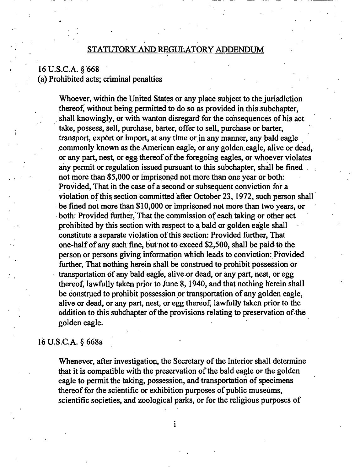## STATUTORY .AND REGULATORY ADDENDUM

# 16 U.S.C.A. § 668

(a) Prohibited **acts, criminal** penalties

Whoever, within the **United States or** any place subject to **the** jurisdiction thereof, without being permitted to do so as provided in this.subehapter, shall knowingly, or with wanton disregard for the consequences of his act take, possess, sell, purchase, barter, offer to sell, purchase or barter, transport, export or import, at any time or in any manner, any bald eagle commonly known as the American eagle, or any golden eagle, alive or dead, or any part, nest, or egg. thereof of the foregoing eagles, or whoever violates any permit or regulation issued pursuant to this subchapter, shall be fined not more than \$5,000 or imprisoned not more than one year or both: Provided, That in the ease of a second or subsequent conviction for a violation of this section committed after October 23, 1972, such person shall be fined not more than \$10,000 or imprisoned not more than two years, or •both: Provided further, That the.commission of each taking or other act prohibited by this section with respect to a bald or golden eagle shall constitute a separate violation of this section: Provided further, That one-half of any such fine, but not to exceed \$2,500, shall be paid to the person or persons giving information which leads to conviction: Provided further, That nothing herein shall be construed to prohibit possession or transportation of any bald eagle, alive or dead, or any part, nest, or egg thereof, lawfully taken prior to June 8, 1940, and that nothing **herein** shall be Construed to prohibit possession or transportation of any golden eagle, alive or dead, or any part, nest, or egg thereof, lawfully taken prior to the addition to this subehapter of the provisions relating to preservation of.the golden eagle.

## 16 U.S.C.A. § 668a

Whenever, after investigation, the Secretary of the Interior shall determine that it is compatible with the preservation of the bald eagle or the golden eagle to permit the taking, possession, and transportation of specimens thereof for the scientific or exhibition purposes of public museums, scientific societies, and zoological parks, or for the religious purposes of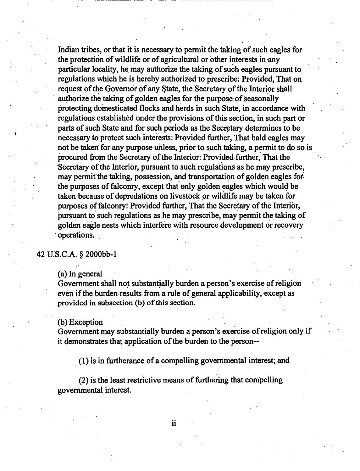**Indian tribes,** or **that it is** necessary to permit the **taking of such eagles for** the **protection 6fwildlife or of agricultural or Other interests in-any particular locality, he.** may **authorize** the **taking of.such eagles pursuant to regulations which he is hereby authorized to prescribe: Provided, That on request** of the Governor of any State, the Secretary of the Interior shall **authorize the taking of golden** eagles, **for** the **purpose, of** seasonally **protecting domesticated flocks** and **herds in** such **State, in accordance with** regulations **estabiished under** the **provisions of this section, in** such **part or** parts.of Such State **and for** such periods **as** the Secretary **determines** to be necessary to protect such interests: Provided further, That bald eagles may not be taken for any purpose unless, prior to such taking, a permit to do so is procured from the Secretary of the Interior: Provided further, That the Secretary of the Interior, pursuant to such regulations as he may prescribe, may permit the taking, possession, and transportation of golden eagles for the purposes of falconry, except that **only** golden eagles which would be taken because of depredations on livestock or wildlife may be taken for purposes of falconry: Provided further, That the Secretary of the Interior, pursuant to such regulations as he may prescribe, may permit the taking of golden eagle nests Which interfere with resource development or recovery operations..

# **42** U.S.C.A. § 2000bb-1

#### (a) **In** general

Government shall not substantially burden a person's exercise of religion even if the burden results from a rule of general applicability, except **as** provided in subsection (b) of this section.

## (b) Exception

Government may substantially burden a person's exercise of religion only if it demonstrates that application of the burden to the person--

• (1.) is in furtherance of a compelling governmental interest; and

(2) is the least restrictive means of furthering that compelling governmental interest.

ii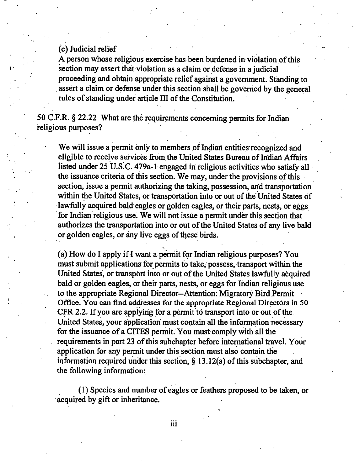# (c) Judicial relief

'

A person whose religious exercise has been burdened in violation of this section may assert that violation as a claim or defense in a judicial proceeding and obtain appropriate relief against a government. Standing to assert a claim or defense under this section shall be governed by the general rules of standing under article III of the Constitution.

50 C.F.R. § 22.22 What are the requirements concerning permits for Indian religious purposes?

We will issue a permit only to members of Indian entities recognized and eligible to receive services from. the United States Bureau of Indian *Affairs* listed under 25 U.S.C. 479a-1 engaged in religious activities who satisfy all the issuance criteria of this section. We may, under the provisions of this section, issue a permit authorizing the taking, possession, arid transportation within the United States, or transportation into or out of the United States of lawfully acquired bald eagles or golden eagles, or their parts, nests, or eggs. for Indian religious use. We will not issue a permit under this section that authorizes the transportation into or out of the United States of any live bald or.golden eagles, or any live eggs of these birds.

**(a)** How **do** I **apply** if.I want **a.permit** fo r Indian **religious purposes?** You must submit applications for permits to take, possess, transport within the United States, or transport into or out of the United States lawfully acquired bald or golden eagles, or their parts, nests, or eggs for Indian religious use to the appropriate Regional Director--Attention: Migratory Bird Permit Office. You can find addresses for the appropriate Regional Directors in 50 CFR 2.2. If you are applying for a permit to transport into or out of the United States, your application must contain all the information necessary for the issuance of a CITES permit. You must comply with all the requirements in part *23* of this subchapter before international travel. Your application for any permit under this section must also contain the information required under this section, § 13.12(a) of this subchapter, and the following information:

(1) Species and number of eagles or feathers proposed to be taken, or •acquired by gift or inheritance.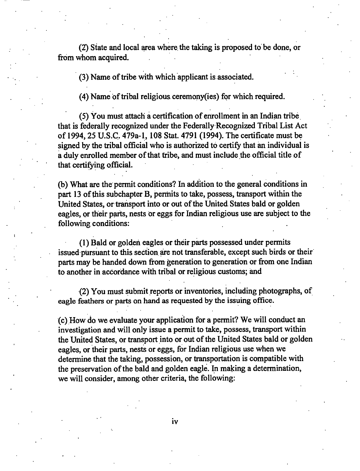(2) **Slate and local area where the taking is** proposed **to be done, or from whom acquired.**

• (3) Name **of** tribe With **whichapplicant** is associated.

(4) **Name** of tribal religious, eeremony(ies) for which required.

(5) **You must attach** a certification **of** era'ollment in an **Indi.an** tribe. that is federally recognized under the Federally-Recognized Tribal List Act of 1994, 25 U.S.C. 479a-1, 108 Stat. 4791 (1994). The certificate must be signed by the tribal official who is authorized to certify that an individual is a duly enrolled member of that tribe, and must include the official title of that certifying official.

(b) What are the permit conditions? In addition to the general conditions in part 13 of this subchapter B, permits to take, possess, transport within the United States, or-transport into or out of the United. States bald or golden eagles, or their parts, nests or eggs for Indian religious use are subject to the following conditions:

(1) Bald **or** golden eagles **or** their **parts possessed** under **permits** issued pursuant to this section are not transferable, except such birds or their parts may be handed down from generation to generation or from one Indian to another in accordance with tribal or religious customs; and

-(2) You must submit .reports or inventories, including **photographs, of** eagle feathers or parts on hand as requested by the issuing office.

(e).How do we evaluate your application for **a permit?** We will conduct an investigation and will only issue a permit to take, possess, transport within the United States, or transport into or out of the United States bald or golden eagles, or their parts, nests or eggs, for Indian religious use when we .determine that the taking, possession, or transportation is compatible with the preservation of the bald and golden eagle. In making a determination, we will consider, among other criteria, the following: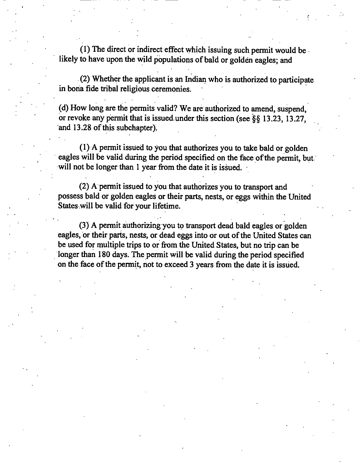(1) The **direct Or** indirect **•effect** which issuing such permit would be. likely to have upon the wild populations of bald or golden eagles; and

(2) Whether the applicant is an Indian who is authorized to participate in bona fide tribal religious ceremonies.

**(d) How** long are the permits **valid?** We **areauthorized** to amend, suspend, or revoke any permit that is issued under this section (see §§ 13.23, 13.27, and 13.28 of this subehapter).

**(1)A permit** issued to **you** that **authorizes you to take bald or** golden eagles will be valid during the period specified on the face of the permit, but. will not be longer than 1 year from the date it is issued.

(2) Apermit **issued to you** that **authorizes** you to transport and possess bald or golden eagles or their parts, nests, or eggs within the United States.will be valid for your lifetime.

(3) A permit authorizing you to transport dead bald eagles or golden eagles, Or *their* parts, nests, or dead eggs into or out of the United States can be used for multiple trips to or from the United States, but no trip can be longer than 180 days. The permit will be valid during the period specified on the face of the **penn!t, not** to exceed 3 years from the **date** it is **issued.**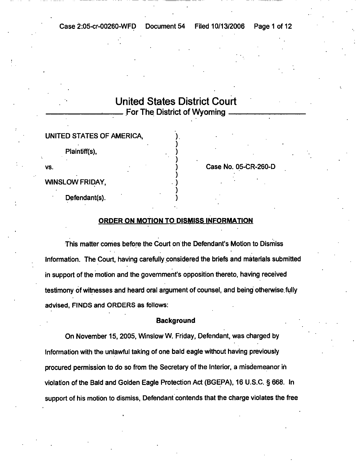# **United** States District **Court .ForThe District of Wyoming**

.<br>( **) • . ) ) ) ) )** ) )

# **UNITED STATES OF AMERICA,**

**Plaintiff(s),**

**VS.**

**Case No. 05-CR-260-D**

**WINSLOW FRIDAY,**

**Defendant(s).**

### **ORDER ON MOTION TO DISMISS INFORMATION**

**This matter comes before the Court on the Defendant's Motion to Dismiss Information. The Court, having carefully .considered the briefs and materials submitted in support of the** motion **and the government's opposition thereto, having received testimony Of witnesses and heard oral argument of counsel, and being otherwise.fully advised, FINDS and ORDERS as follows:**

#### **Background**

**On November 15, 2005, Winslow W. Friday, Defendant, was charged by Information with the unlawful taking of one bald eagle without having previously procured permission to do so** from **the Secretary of the Interior, a misdemeanor in violation of the Bald and Golden Eagle Protection** Act **(BGEPA), 16 U.S.C.** § **668. In support** of his motion to dismiss, Defendant contends that the charge violates the free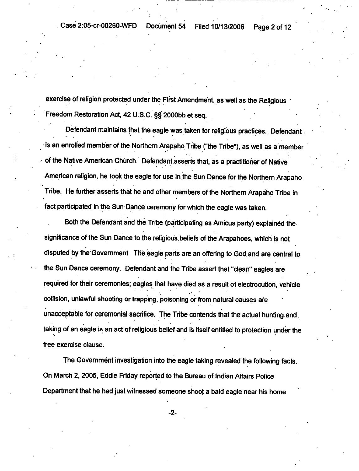**exercise •of religion protected under the Fimt Amendmeht, as well as the Religious •** Freedom **Rest°rati°n Act, 42 U.S..C.** §§ **2000bb et seq.**

**Defendant maintains that the eagle was taken for religious practices. Defendant is** an enrolled member of the Northern Arapaho Tribe ("the Tribe"), as well as a member **•**- **of the** Native American **Church. .Defendant.asseds that, as a practitior\_e.rof Native American religion, he took** the **eagle** for **use inthe Sun Dance for the Northern AraPaho Tribe. He** further **asserts that .he and other members of the Northern Arapaho Tribe. in fact participated in the Sun.Dance ceremony for which the eagle was taken.**

**Both** the Defendant and the Tribe (participating as Amicus party) explained the. **significance of the Sun Dance to the religious.beliefs of the** Arapahoes, **which•is not disputed by the** Government. **Theeagle parts are an offering to God. and are central to the Sun Dance ceremony. Defendant and** ihe **Tribe assert that** "clean" **eagles are required for their ceremonies; eaglesthat have died as a result of electrocution, vehicle collision, unlawful shooting or trapping, poisoning or from natural causes am Unacceptable** for **ceremonial sacrifice. The Tribe contends that** the **actual huntingand. taking of an eagle is an act of religious belief and is itself entitled to protection under the** free **exercise clause.**

**The Government investigation into the eagle taking revealed the** following facts. **On March 2, 2005, Eddie Friday reported to** the **Bureau of Indian Affairs Police Department that he had just witnessed someone shoot a bald eagle near his home**

**-2-**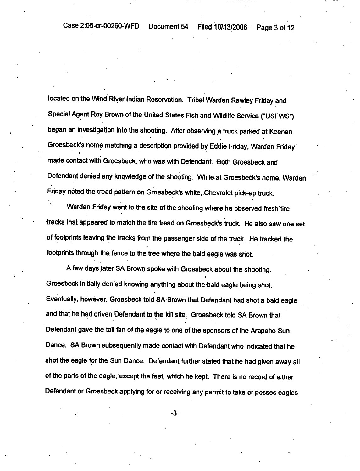**-located on the Wind River Indian Reservation. Tribal Warden Rawley Friday and Special Agent Roy Brown of the United States Fish and Wildlife Service. ("USFWS") began an investigation into the shooting. After observing** atruck **parked at Keenan Groesbeck's home matching a description provided by Eddie Friday, Warden Friday • madecontact witll Groesbeck, who was.with Defendant. -Both Groesbeck and Defendant denied anyknowledge of the shooting. While•at GroesbeCk's home, Warden Friday noted the tread pattern on Groesbeck's white, •Chevrolet pick-up truck.**

**Warden Fdday went to the site of the shooting where he observed** freshtire **•tracks that appeared to match the tire tread on Groesbeck's truckl He also saw one set of** footprints **leaving the tracks** from **the passenger side of the truck. He tracked the** footprints through the fence to the tree where the bald eagle was shot.

**A** few **daysilater SA Brown spoke with Groesbeck about** the **shooting. t Groesbeck initially denied knowing anything about thebald eagle being shot. Eventually, however, Groesbeck told SA-Brown that Defendant had shot a bald eagle and that he had driven Defendant to the kill site. Groesbeck told SA Brown that •Defendant gave the tail** fan **of the eagle to one of the sponsors of the Arapaho Sun Dance. SA Brown subsequently made contact with Defendant who indicated that he shot the eagle** for the **Sun Dance. Defendant** further **stated that he had given away all of the parts of the eagle,•except the** feet, **which he kept. There is no record of either Defendant or Groesbeck applying** for **or receiving any permit to take or posses eagles**

**-3-**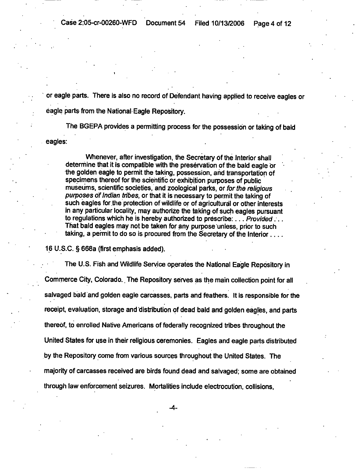• **or eagle parts. There is also no record of Defendant having applied to receive eagles or**

**eagle Parts, from the National• Eagle RepoSitory.**

**The BGEPA provides a permitting process** for **the possession or taking of bald • eagles:**

**Whenever, after investigation, the Secretary Of the .Interior shall determine** that **it is compatible with** the **preservation of the bald eagle** Or **•**the **golden eagle to permit the tak!ng, possession, and transportation of specimens thereof** for **the scientific or exhibition purposes of public museums, scientific societies, and zoological parks, or for the religious purposes** of *Indian tribes*, or that it is necessary to permit the taking of **such eagles** for **.the •protection of wildlife or of agricultural or other interests in any particular locality, may authorize the taking.of such eagles pursuant to regulations which he is hereby authorized to prescribe:... Provided** ... **That bald eagles may not be taken** for **any purpose** unless, **prior to such taking, a pei'mit to do so is procured** from **the Secretary of the Interior** ....

16 **U.S.C.** § **668a (first emphasis added).**

**• The U.S. Fish and Wildlife Service operates the National Eagle Repository in Commerce City, Colorado.• The Repository serves as th.e main collection point** for **all salvaged baldand golden eagle carcasses, parts and** feathersl **It is responsible for the receipt, evaluation, Storage and 'distribution of dead** bad **and golden eag!es, and parts thereof, to enrolled Native Americans of federally recognized tribes throughout the United States** for **use in their religious** ceremonies. **Eagles and eagle parts distributed by** the **Repository come** from **various sources throughou{ the United States. The majority of carcasses received are birds** found **dead and salvaged; some are obtained through law enforcement seizures. Mortalities include electrocution, collisions,**

4-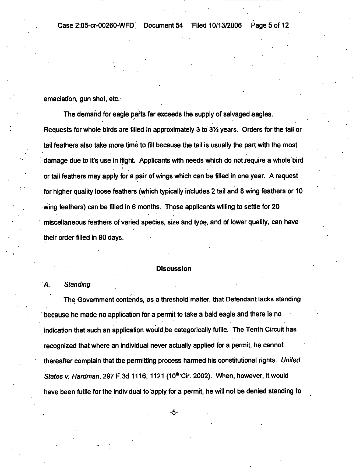**emaciation, gun shot, etc.** 

**The demand** for **eagle pa\_s** far **exceeds the supply.of salvaged.eagles. Requests** for **whole birds are filled in approximately 3 tO 3½ years. Orders** for **the tail or tail** feathers **also take more time tO fill because the tail is usuallythe part with the most -damage due to it's use in flight Applicantswith needs which do not.require a wholebird or tail** feathers **may apply for a pair of wings which canbe** filled **in one year. A request** for **higher quality loose** feathers **(which** typically **includes 2 tail and 8 wing** feathers **or 10 -wing** feathers) **can be** filled **in 6 months. Those applicants willing to settle** for **20 miscellaneous** feathel's **of varied species, size and** type, **and of lower quality, can have their order filled in 90 days.**

#### **Discussion**

#### **A. Standing**

**Th e Government contends, as a threshold matter, that Defendant lacks standing** because **he made no application** for **a permit to take a bald eagle and there is no indication that such an application would.be categorically** futile. **The Tenth Circuit has recognized that where an individual never actually applied** for.a **permit, he cannot thereafter complain that the permitting process harmed his constitutional rights. United States v. Hardman, 297 F.3d 1116, 1121 (10thCir. 2002). When, however, it would have been** futile for **the individual to** apply for **a permit, he will not be denied standing to**

**•** .5 o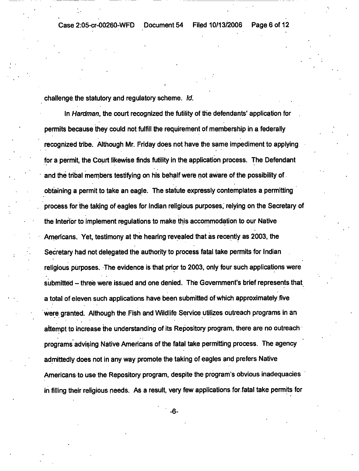**• challenge the statutory and regulatory scheme. Id.**

**In Hardman, the court recognized the futility of** He **defendants' application** for **permits because** they **could not fulfill** the **requirement of membership in a** federally **recognized tribe. Although Mr. Friday does not have the same impediment to applying** for **a permit, the Co.urt likewise finds** futility **in the application process. The Defendant and** the **tribal members testifying on his behalf were n.ot aware of the possibility of obtaining a permit to take an eagle. The statute expressly contemplates a permitting process** for **the taking of eagles** for **Indian religious purposes: relying on the Secretary of the Interi0r to implement regulations to make** ihis **accommodation to our Native Americans. Yet, testimony at the hearing** revealed **that as recently as 2003, the Seciretary had not delegated the authorityto process** fatal **take permits** for **Indian religious purposes..The evidence is that prior to 2003, only** four **such .applications were SiJbmitted - three were issued and one denied. The Govemment's brief represents that a total of eleven such applications have been submitted of which approximately.five** were. **granted. Although theFish and Wildlife Service utilizes outreach programs in an attempt to increase the understanding of its Repository program,** there **are no outreach programsadvis.ing Native Americans of the** fatal **take permitting process. The agency admittedly does not in any way promote the taking of eagles and prefers Native Amedcans-to use the Repository program, despite the program's obvious inadequacies in filling** their **religious needs.** As **a result, very** few **applications** for.fatal **take perm!ts** for

-6-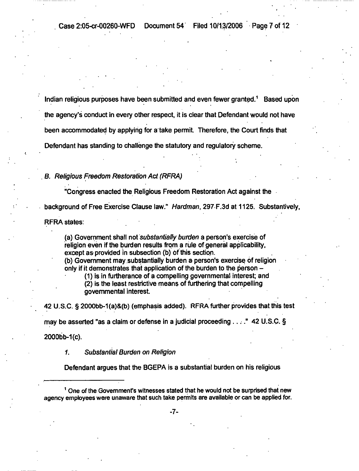**Indian religious purposes have been submitted and even** fewer **granted.** 1 **Based upon the agency's conduct in every other respect, it is clear** that **Defendant would not have been accommodate d by applying I;or** atake **permit. Therefore, the Court finds that Defendant has standing to challenge the statutory and regulato\_ scheme.**

## **B. Religious Freedom Restoration Act (RFRA)**

**;'Congress enacted** the **Religious Freedom Restoration Act against the**

**background of Free Exercise Clause law." Hardman, 297.Fo3d at 1125. Substantively,**

## **RFRA states: " "**

**.(a) Government shall not Substantially burden a person's exercise of religion even if** the **burden results** from **a rule of general applicability, except as. provided** in **subsection (b) 0fthis section.**

**(b) Government may •substantially burden a person's exercise Of religion only if it demonstrates that application of the burden to the I\_erson -**

**(1) is in furtherance of a compelling governmental interest; and (2) is the least restrictive means of** furthering **that compelling governmental interest.**

**42 U.S.C.** § **2000bb-l(a)&(b) (emphasis added). RFRA** further **provides that tilis test may be asserted** "as **a claim or defense in a judicial proceeding...• ." 42 U.S.C.** §

**2000bb-l(c).**

**1. Substantial Burden on Religion**

**Defendant argues that the BGEPA is a substantial burden on his religious**

1**One of the Government's witnesses stated that he would not be surprised thai new agency employees were unaware that such take permits are available or can be applied for.**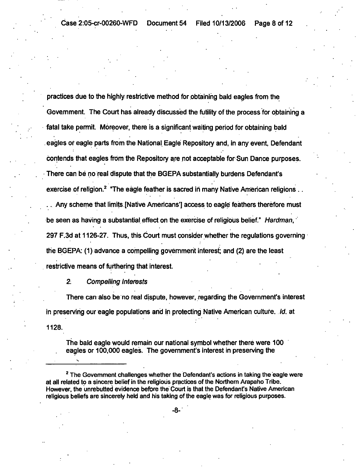practices due to the highly restrictive method for obtaining bald eagles from the **Government• The Court has already discussed the futility of the processfor obtaining a • -fatal take permit• Moreover** there **is a significant, waiting period** for **obtaining bald** •**eagles or eagl e parts from** the **National. Eagle Repositop/and, in any** *event,* **Defendant Contends that eagles** from **the Repository are .not acceptable** forSun **Dance purposes.** . **There can be** no real **dispute** that **the BGEPA substantia ly burdens Defendant's exercise of religion.** 2 "The **eagle** feather **is sacred ift many Native American religions..**

**•. Any scheme that limi\_.[Native** Americans'] **access to eagle** feathers **therefore must •be seen as having a substantial• effect on the exercise of religious belief." Hardman, 297 F.3d at 1126-27. Thus, this Court must consider whether** ihe **regulations governing the BGEPA: (1) advance a compelling govemmerit interest; and (2) are the least** • **restrictive means of** furthering **that interest.**

**2. Compelling Interests**

**There can also beno real dispute, however, regarding the Government's interest in preserving our eagle populations ani:l in protecting Native American culture. Id. at 1128.**

**The bald eagle would remain our national symbol whether there were 100 • eagles or 100,000 eagles. The government's interest in preserving the**

2 **The Government challenges whether the •Defendant's actions in taking the •eagle were at all related to a sincere belief in the religiotJspractices of the Northern Arapaho Tribe. However, the unrebutted evidence before the Court is that the Defendant's Native American religious beliefs are sincerely held and his taking of the eagle was for religious purposes.**

-8-"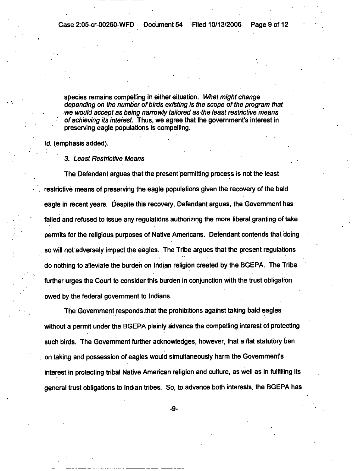**species remains compelling in either situation. What might change depending on the number of birds existing is the scope of the program that .we** would accept as being narrowly tailored as the least restrictive means **of achieving its interest. Thus,we agree that the government's interest in preserving eagle populations is compelling.**

**Id. (emphasis added).**

**3. Least Restrictive Means**

**The Defendant argues that the Presentpermitting process is not the least • restrictive means of preserving the eagle populations given the recovery of the bald eagle in recent years. Despite this recovery, Defendant argues,** the Government **has failed and refused to issue any regulatiOns authorizing the more liberal granting.of take permits** for **the religious purposes of Native Americans. Defendant contends** that doing **so will notadversely impact the eagles. The Tribe argues that the present regulations do nothing to alleviate the burden on Indian religion created by** ihe **BGEPA. The Tribe** further **urges the Court to** consider **this burden in conjunction with the trust obligation owed by the** federal **government to Indians.**

**The Government responds .that the prohibitions against taking bald eagles without a permit under the BGEPA plainly advance the compelling interest of protecting such birds. The Government** further **acknowledges, however, that a** flat **statutory ban** . **on taking and possession of eagles woulcl simultaneously harm the Government's interest in protecting tribal Native American religion and culture, as well as in** fulfilling **its general trust obligations to Indian tribes. SO, to advance both interests, the BGEPA has**

**-9-**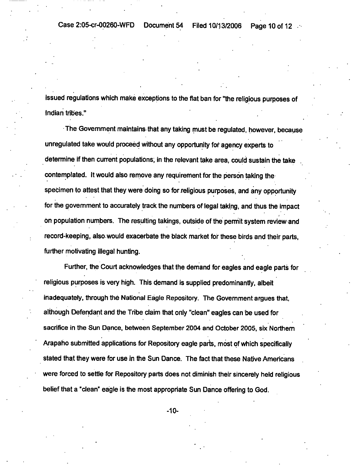**issued regulations which make exceptions to the** fiat **ban for** "the **religious purposes of Indian tribes."** 

•**The Government maintains, that any taking must be regulated, however, because unregulated take would proceed without any opportunity** for **agency experts to determine if then current p0pulations\_ in the relevant take area, could sustain the take . contemplated. It would also remove any requirement** for **the person baking the. specimen .to attest that** they **weredoing so** for **religious purposes, and any opportunity** for **the government to accurately track the numbers of**legal **taking, and thus the impact ON** population numbers. The resulting takings, outside of the permit system review and **record-keeping, also.would exacerbate the black market** fop **these birds and their parts,** further **motivating illegal hunting.**

**Further, theCourt acknowledges** that **the demand** for **eagles and eagle parts** for **religious purposes is very high. This demand is supplied predominantly, albeit inadequately, through the National Eagle Repository. The Government argues that, although Defendant and the Tribe claim that only** "clean" **eagles can be used** for **sacrifice in the Sun Dance, between September 2'004 and October 2005, sixNorthern Arapaho submitted applications** for **Repository eagle parts, mc\_stof which specifically stated that they were** for **use •inthe Sun Dance. The** fact **that these Native Americans were forced to settle** for **Repository parts does not diminish their sincerely held religious belief** that **a =clean"eagle is the most appropriate Sun Dance offering to God.**

**-10-**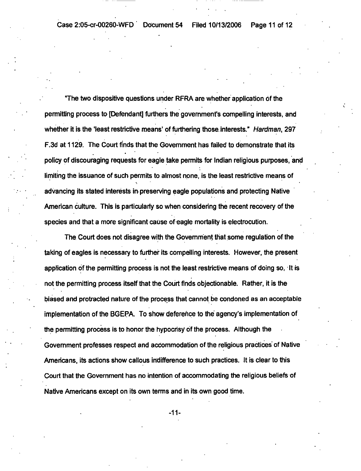. "The **two dispositive questions under RFRA are whether application Of the permitting process to.[Defendant] furthers the government's compelling interests, and whether it is the 'least restrictive means' of** furtheringthose, **interests." Hardman, 297 F.3d at 1129. The Court** finds **that the Govemment has failed to demonstrate that its policy O**f **discouraging requests** for **eagle take permits** for **Indian religious purposes, 'and limiting the issuance of such permits to almost none, is** the **least restrictive means of advancing its stated interests in. preserving eagle populations and protecting Native American culture. This is particularly so when considering the recent recovery of** the **species and that a more significant cause ofeagle mortality is electrocution.**

**The Court does not disagree with the Govemmen.t** \_at **some regulation of the taking of eagles is necessary to** furthei" **its compelling interests. However, the present application of the permitting process is not the least restrictive means of doing so,** It **is not** the **permitting process itself** that **the Court** finds **objectionable. Rather, it is the biased and protracted nature of the process that cannot be condoned as an acceptable implementation of the BGEPA. To show deference to the agency's implementation of the permitting process is to honor the hypocrisy Of the process. Although the Government professes respect and accommodation of the religious practi\_s of Native Americans, its actions show callous indifference to such practices. It is clear to this Court that the Government has no intention of accommodating the religious beliefs.of Native Americans except on its own terms and in its own good time.**

**-11-**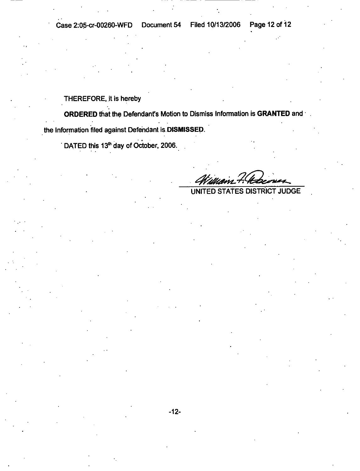THEREFORE, it is hereby

ORDERED that the Defendant's Motion to Dismiss Information is GRANTED and the Information filed against Defendant is DISMISSED.

**DATED this 13<sup>th</sup> day of October, 2006.** 

**UNITED STATES DISTRICT** JUDGE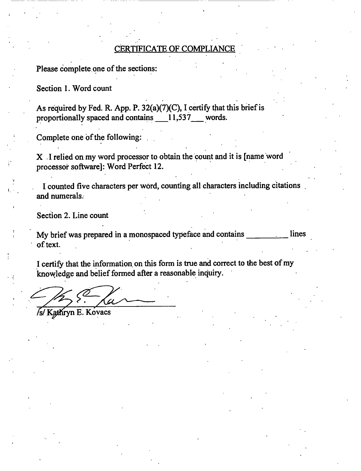## CERTIFICATE OF COMPLIANCE

Please complete one **of** the **sections:**

**Section 1.** Word count

As required by Fed. R. App. P. 32(a)(7)(C), I certify that this brief is proportionally spaced and contains 11,537 words.

Complete one of the following:

 $X$ . I relied on my word processor to obtain the count and it is [name word processor software]: Word Perfect 12.

I counted five characters per word, counting all characters including eitations and numerals. •

Section 2. Line count

My brief was prepared in a monospaced typeface and contains \_\_\_\_\_\_\_\_\_\_\_ lines of text.

I certify that the information, on this form is true and correct to the best of my knowledge and belief formed after a reasonable inquiry.

S/ Kathryn E. Kovacs